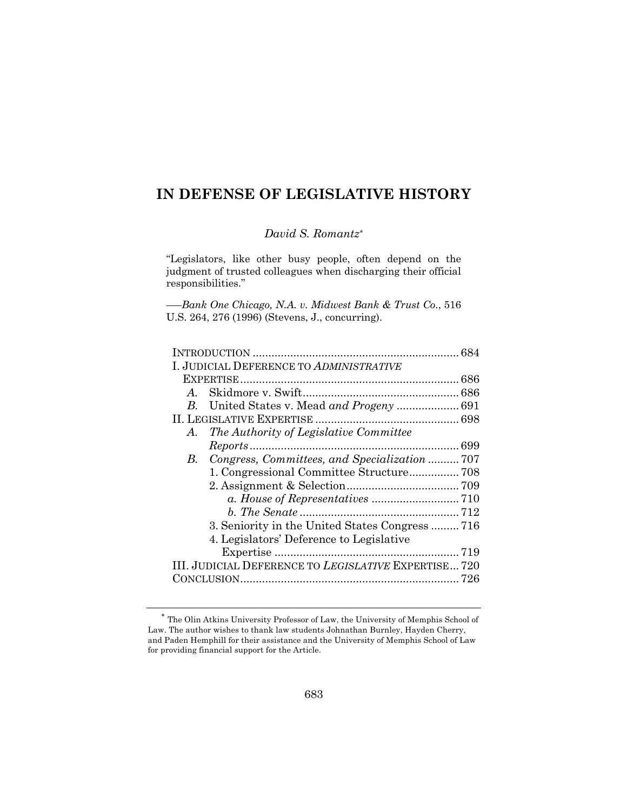# **IN DEFENSE OF LEGISLATIVE HISTORY**

## *David S. Romantz\**

"Legislators, like other busy people, often depend on the judgment of trusted colleagues when discharging their official responsibilities."

*–—Bank One Chicago, N.A. v. Midwest Bank & Trust Co*., 516 U.S. 264, 276 (1996) (Stevens, J., concurring).

| I. JUDICIAL DEFERENCE TO ADMINISTRATIVE              |  |
|------------------------------------------------------|--|
|                                                      |  |
| $A_{-}$                                              |  |
| B.                                                   |  |
|                                                      |  |
| The Authority of Legislative Committee<br>A.         |  |
|                                                      |  |
| Congress, Committees, and Specialization  707<br>В.  |  |
|                                                      |  |
|                                                      |  |
|                                                      |  |
|                                                      |  |
| 3. Seniority in the United States Congress  716      |  |
| 4. Legislators' Deference to Legislative             |  |
|                                                      |  |
| III. JUDICIAL DEFERENCE TO LEGISLATIVE EXPERTISE 720 |  |
|                                                      |  |
|                                                      |  |

 $^\ast$  The Olin Atkins University Professor of Law, the University of Memphis School of Law. The author wishes to thank law students Johnathan Burnley, Hayden Cherry, and Paden Hemphill for their assistance and the University of Memphis School of Law for providing financial support for the Article.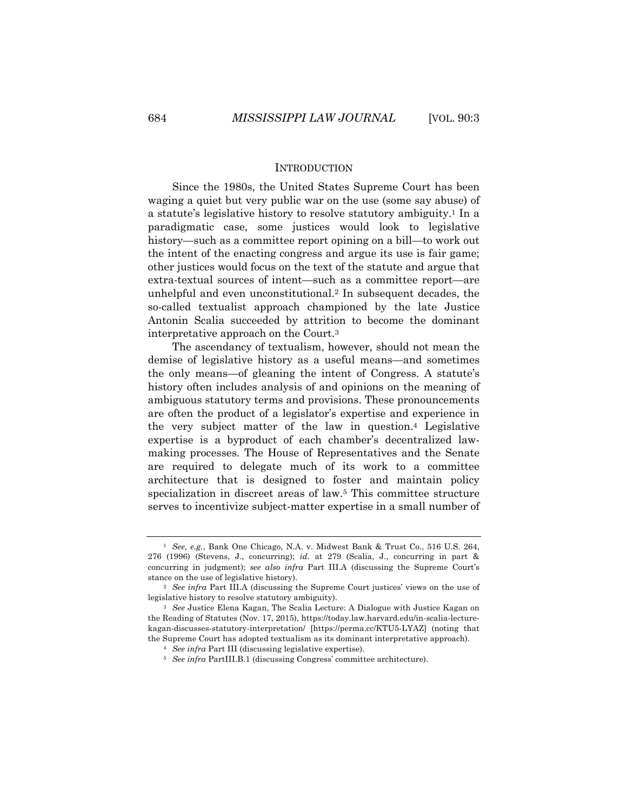#### **INTRODUCTION**

Since the 1980s, the United States Supreme Court has been waging a quiet but very public war on the use (some say abuse) of a statute's legislative history to resolve statutory ambiguity.1 In a paradigmatic case, some justices would look to legislative history—such as a committee report opining on a bill—to work out the intent of the enacting congress and argue its use is fair game; other justices would focus on the text of the statute and argue that extra-textual sources of intent—such as a committee report—are unhelpful and even unconstitutional.2 In subsequent decades, the so-called textualist approach championed by the late Justice Antonin Scalia succeeded by attrition to become the dominant interpretative approach on the Court.3

The ascendancy of textualism, however, should not mean the demise of legislative history as a useful means—and sometimes the only means—of gleaning the intent of Congress. A statute's history often includes analysis of and opinions on the meaning of ambiguous statutory terms and provisions. These pronouncements are often the product of a legislator's expertise and experience in the very subject matter of the law in question.4 Legislative expertise is a byproduct of each chamber's decentralized lawmaking processes. The House of Representatives and the Senate are required to delegate much of its work to a committee architecture that is designed to foster and maintain policy specialization in discreet areas of law.5 This committee structure serves to incentivize subject-matter expertise in a small number of

<sup>1</sup> *See, e.g.*, Bank One Chicago, N.A. v. Midwest Bank & Trust Co., 516 U.S. 264, 276 (1996) (Stevens, J., concurring); *id.* at 279 (Scalia, J., concurring in part & concurring in judgment); *see also infra* Part III.A (discussing the Supreme Court's stance on the use of legislative history).

<sup>2</sup> *See infra* Part III.A (discussing the Supreme Court justices' views on the use of legislative history to resolve statutory ambiguity).

<sup>3</sup> *See* Justice Elena Kagan, The Scalia Lecture: A Dialogue with Justice Kagan on the Reading of Statutes (Nov. 17, 2015), https://today.law.harvard.edu/in-scalia-lecturekagan-discusses-statutory-interpretation/ [https://perma.cc/KTU5-LYAZ] (noting that the Supreme Court has adopted textualism as its dominant interpretative approach).

<sup>4</sup> *See infra* Part III (discussing legislative expertise).

<sup>5</sup> *See infra* PartIII.B.1 (discussing Congress' committee architecture).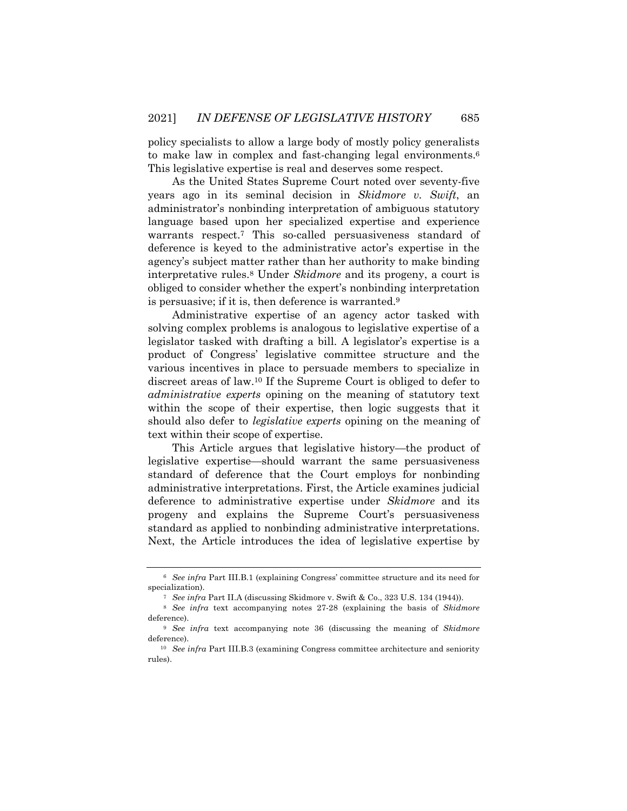policy specialists to allow a large body of mostly policy generalists to make law in complex and fast-changing legal environments.6 This legislative expertise is real and deserves some respect.

As the United States Supreme Court noted over seventy-five years ago in its seminal decision in *Skidmore v. Swift*, an administrator's nonbinding interpretation of ambiguous statutory language based upon her specialized expertise and experience warrants respect.7 This so-called persuasiveness standard of deference is keyed to the administrative actor's expertise in the agency's subject matter rather than her authority to make binding interpretative rules.8 Under *Skidmore* and its progeny, a court is obliged to consider whether the expert's nonbinding interpretation is persuasive; if it is, then deference is warranted.9

Administrative expertise of an agency actor tasked with solving complex problems is analogous to legislative expertise of a legislator tasked with drafting a bill. A legislator's expertise is a product of Congress' legislative committee structure and the various incentives in place to persuade members to specialize in discreet areas of law.10 If the Supreme Court is obliged to defer to *administrative experts* opining on the meaning of statutory text within the scope of their expertise, then logic suggests that it should also defer to *legislative experts* opining on the meaning of text within their scope of expertise.

This Article argues that legislative history—the product of legislative expertise—should warrant the same persuasiveness standard of deference that the Court employs for nonbinding administrative interpretations. First, the Article examines judicial deference to administrative expertise under *Skidmore* and its progeny and explains the Supreme Court's persuasiveness standard as applied to nonbinding administrative interpretations. Next, the Article introduces the idea of legislative expertise by

<sup>6</sup> *See infra* Part III.B.1 (explaining Congress' committee structure and its need for specialization).

<sup>7</sup> *See infra* Part II.A (discussing Skidmore v. Swift & Co., 323 U.S. 134 (1944)).

<sup>8</sup> *See infra* text accompanying notes 27-28 (explaining the basis of *Skidmore* deference).

<sup>9</sup> *See infra* text accompanying note 36 (discussing the meaning of *Skidmore* deference).

<sup>&</sup>lt;sup>10</sup> *See infra* Part III.B.3 (examining Congress committee architecture and seniority rules).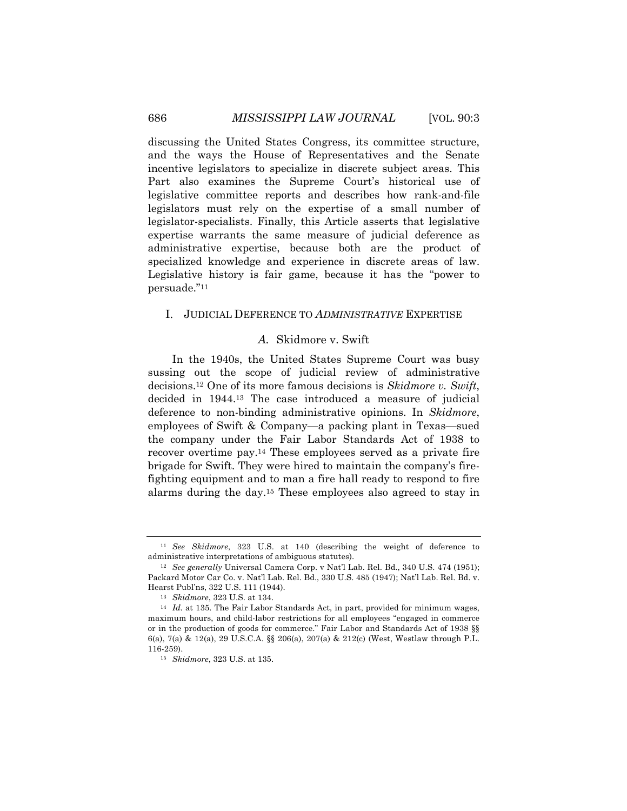discussing the United States Congress, its committee structure, and the ways the House of Representatives and the Senate incentive legislators to specialize in discrete subject areas. This Part also examines the Supreme Court's historical use of legislative committee reports and describes how rank-and-file legislators must rely on the expertise of a small number of legislator-specialists. Finally, this Article asserts that legislative expertise warrants the same measure of judicial deference as administrative expertise, because both are the product of specialized knowledge and experience in discrete areas of law. Legislative history is fair game, because it has the "power to persuade."11

#### I. JUDICIAL DEFERENCE TO *ADMINISTRATIVE* EXPERTISE

## *A.* Skidmore v. Swift

In the 1940s, the United States Supreme Court was busy sussing out the scope of judicial review of administrative decisions.12 One of its more famous decisions is *Skidmore v. Swift*, decided in 1944.13 The case introduced a measure of judicial deference to non-binding administrative opinions. In *Skidmore*, employees of Swift & Company—a packing plant in Texas—sued the company under the Fair Labor Standards Act of 1938 to recover overtime pay.14 These employees served as a private fire brigade for Swift. They were hired to maintain the company's firefighting equipment and to man a fire hall ready to respond to fire alarms during the day.15 These employees also agreed to stay in

<sup>11</sup> *See Skidmore*, 323 U.S. at 140 (describing the weight of deference to administrative interpretations of ambiguous statutes).

<sup>12</sup> *See generally* Universal Camera Corp. v Nat'l Lab. Rel. Bd., 340 U.S. 474 (1951); Packard Motor Car Co. v. Nat'l Lab. Rel. Bd., 330 U.S. 485 (1947); Nat'l Lab. Rel. Bd. v. Hearst Publ'ns, 322 U.S. 111 (1944).

<sup>13</sup> *Skidmore*, 323 U.S. at 134.

<sup>14</sup> *Id.* at 135. The Fair Labor Standards Act, in part, provided for minimum wages, maximum hours, and child-labor restrictions for all employees "engaged in commerce or in the production of goods for commerce." Fair Labor and Standards Act of 1938 §§ 6(a), 7(a) & 12(a), 29 U.S.C.A. §§ 206(a), 207(a) & 212(c) (West, Westlaw through P.L. 116-259).

<sup>15</sup> *Skidmore*, 323 U.S. at 135.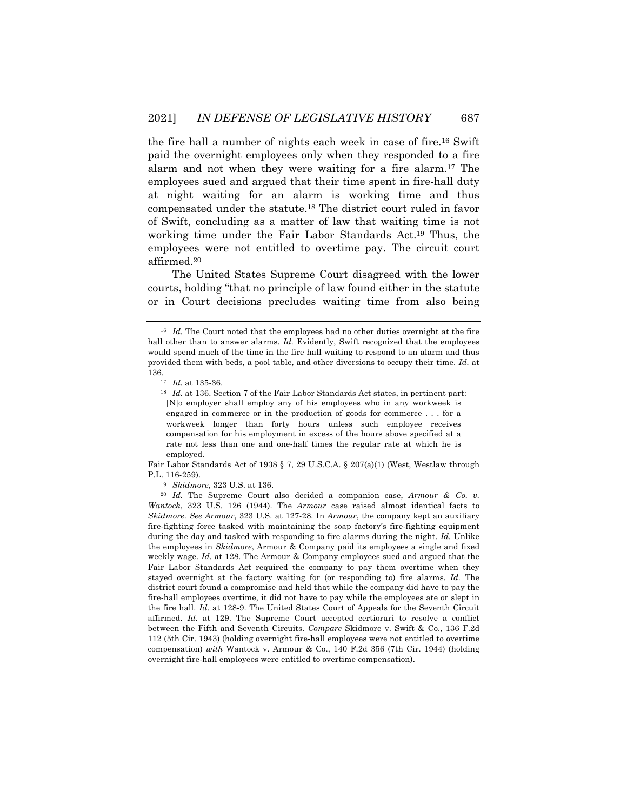the fire hall a number of nights each week in case of fire.16 Swift paid the overnight employees only when they responded to a fire alarm and not when they were waiting for a fire alarm.17 The employees sued and argued that their time spent in fire-hall duty at night waiting for an alarm is working time and thus compensated under the statute.18 The district court ruled in favor of Swift, concluding as a matter of law that waiting time is not working time under the Fair Labor Standards Act.19 Thus, the employees were not entitled to overtime pay. The circuit court affirmed.20

The United States Supreme Court disagreed with the lower courts, holding "that no principle of law found either in the statute or in Court decisions precludes waiting time from also being

Fair Labor Standards Act of 1938 § 7, 29 U.S.C.A. § 207(a)(1) (West, Westlaw through P.L. 116-259).

<sup>&</sup>lt;sup>16</sup> *Id.* The Court noted that the employees had no other duties overnight at the fire hall other than to answer alarms. *Id.* Evidently, Swift recognized that the employees would spend much of the time in the fire hall waiting to respond to an alarm and thus provided them with beds, a pool table, and other diversions to occupy their time. *Id.* at 136.

<sup>17</sup> *Id.* at 135-36.

<sup>18</sup> *Id.* at 136. Section 7 of the Fair Labor Standards Act states, in pertinent part: [N]o employer shall employ any of his employees who in any workweek is engaged in commerce or in the production of goods for commerce . . . for a workweek longer than forty hours unless such employee receives compensation for his employment in excess of the hours above specified at a rate not less than one and one-half times the regular rate at which he is employed.

<sup>19</sup> *Skidmore*, 323 U.S. at 136.

<sup>20</sup> *Id.* The Supreme Court also decided a companion case, *Armour & Co. v. Wantock*, 323 U.S. 126 (1944). The *Armour* case raised almost identical facts to *Skidmore*. *See Armour*, 323 U.S. at 127-28. In *Armour*, the company kept an auxiliary fire-fighting force tasked with maintaining the soap factory's fire-fighting equipment during the day and tasked with responding to fire alarms during the night. *Id.* Unlike the employees in *Skidmore*, Armour & Company paid its employees a single and fixed weekly wage. *Id.* at 128. The Armour & Company employees sued and argued that the Fair Labor Standards Act required the company to pay them overtime when they stayed overnight at the factory waiting for (or responding to) fire alarms. *Id.* The district court found a compromise and held that while the company did have to pay the fire-hall employees overtime, it did not have to pay while the employees ate or slept in the fire hall. *Id.* at 128-9. The United States Court of Appeals for the Seventh Circuit affirmed. *Id.* at 129. The Supreme Court accepted certiorari to resolve a conflict between the Fifth and Seventh Circuits. *Compare* Skidmore v. Swift & Co., 136 F.2d 112 (5th Cir. 1943) (holding overnight fire-hall employees were not entitled to overtime compensation) *with* Wantock v. Armour & Co., 140 F.2d 356 (7th Cir. 1944) (holding overnight fire-hall employees were entitled to overtime compensation).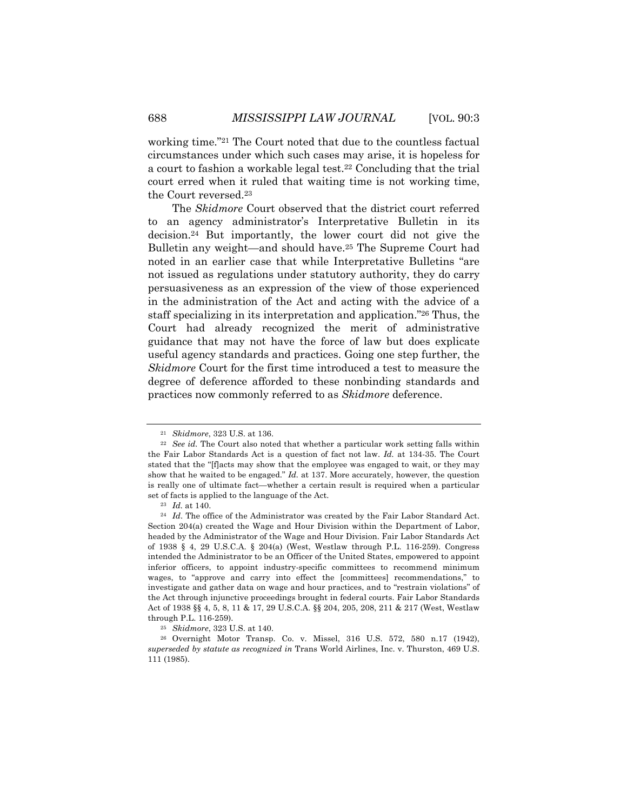working time."21 The Court noted that due to the countless factual circumstances under which such cases may arise, it is hopeless for a court to fashion a workable legal test.22 Concluding that the trial court erred when it ruled that waiting time is not working time, the Court reversed.23

The *Skidmore* Court observed that the district court referred to an agency administrator's Interpretative Bulletin in its decision.24 But importantly, the lower court did not give the Bulletin any weight—and should have.25 The Supreme Court had noted in an earlier case that while Interpretative Bulletins "are not issued as regulations under statutory authority, they do carry persuasiveness as an expression of the view of those experienced in the administration of the Act and acting with the advice of a staff specializing in its interpretation and application."26 Thus, the Court had already recognized the merit of administrative guidance that may not have the force of law but does explicate useful agency standards and practices. Going one step further, the *Skidmore* Court for the first time introduced a test to measure the degree of deference afforded to these nonbinding standards and practices now commonly referred to as *Skidmore* deference.

<sup>21</sup> *Skidmore*, 323 U.S. at 136.

<sup>22</sup> *See id.* The Court also noted that whether a particular work setting falls within the Fair Labor Standards Act is a question of fact not law. *Id.* at 134-35. The Court stated that the "[f]acts may show that the employee was engaged to wait, or they may show that he waited to be engaged." *Id.* at 137. More accurately, however, the question is really one of ultimate fact—whether a certain result is required when a particular set of facts is applied to the language of the Act.

<sup>23</sup> *Id.* at 140.

<sup>24</sup> *Id*. The office of the Administrator was created by the Fair Labor Standard Act. Section 204(a) created the Wage and Hour Division within the Department of Labor, headed by the Administrator of the Wage and Hour Division. Fair Labor Standards Act of 1938 § 4, 29 U.S.C.A. § 204(a) (West, Westlaw through P.L. 116-259). Congress intended the Administrator to be an Officer of the United States, empowered to appoint inferior officers, to appoint industry-specific committees to recommend minimum wages, to "approve and carry into effect the [committees] recommendations," to investigate and gather data on wage and hour practices, and to "restrain violations" of the Act through injunctive proceedings brought in federal courts. Fair Labor Standards Act of 1938 §§ 4, 5, 8, 11 & 17, 29 U.S.C.A. §§ 204, 205, 208, 211 & 217 (West, Westlaw through P.L. 116-259).

<sup>25</sup> *Skidmore*, 323 U.S. at 140.

<sup>26</sup> Overnight Motor Transp. Co. v. Missel, 316 U.S. 572, 580 n.17 (1942), *superseded by statute as recognized in* Trans World Airlines, Inc. v. Thurston, 469 U.S. 111 (1985).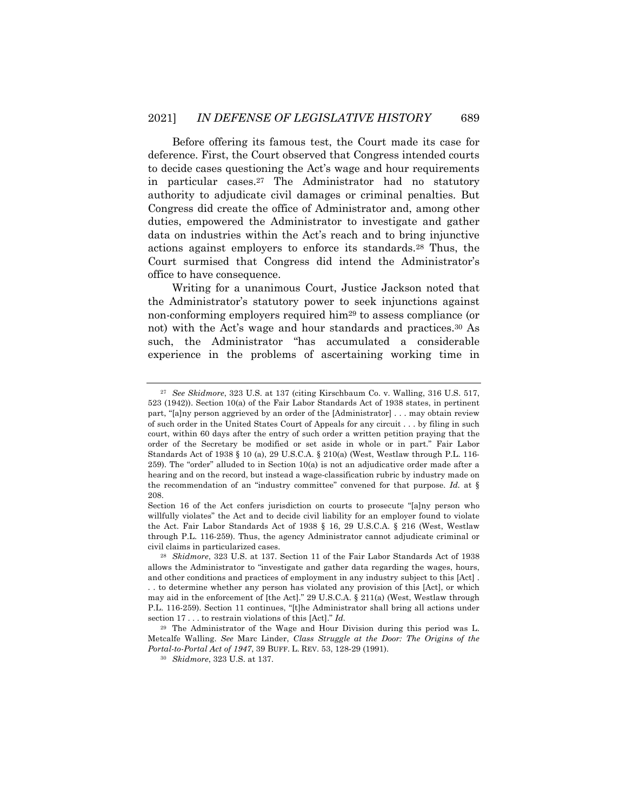Before offering its famous test, the Court made its case for deference. First, the Court observed that Congress intended courts to decide cases questioning the Act's wage and hour requirements in particular cases.27 The Administrator had no statutory authority to adjudicate civil damages or criminal penalties. But Congress did create the office of Administrator and, among other duties, empowered the Administrator to investigate and gather data on industries within the Act's reach and to bring injunctive actions against employers to enforce its standards.28 Thus, the Court surmised that Congress did intend the Administrator's office to have consequence.

Writing for a unanimous Court, Justice Jackson noted that the Administrator's statutory power to seek injunctions against non-conforming employers required him29 to assess compliance (or not) with the Act's wage and hour standards and practices.30 As such, the Administrator "has accumulated a considerable experience in the problems of ascertaining working time in

<sup>27</sup> *See Skidmore*, 323 U.S. at 137 (citing Kirschbaum Co. v. Walling, 316 U.S. 517, 523 (1942)). Section 10(a) of the Fair Labor Standards Act of 1938 states, in pertinent part, "[a]ny person aggrieved by an order of the [Administrator] . . . may obtain review of such order in the United States Court of Appeals for any circuit . . . by filing in such court, within 60 days after the entry of such order a written petition praying that the order of the Secretary be modified or set aside in whole or in part." Fair Labor Standards Act of 1938 § 10 (a), 29 U.S.C.A. § 210(a) (West, Westlaw through P.L. 116- 259). The "order" alluded to in Section 10(a) is not an adjudicative order made after a hearing and on the record, but instead a wage-classification rubric by industry made on the recommendation of an "industry committee" convened for that purpose. *Id.* at § 208.

Section 16 of the Act confers jurisdiction on courts to prosecute "[a]ny person who willfully violates" the Act and to decide civil liability for an employer found to violate the Act. Fair Labor Standards Act of 1938 § 16, 29 U.S.C.A. § 216 (West, Westlaw through P.L. 116-259). Thus, the agency Administrator cannot adjudicate criminal or civil claims in particularized cases.

<sup>28</sup> *Skidmore*, 323 U.S. at 137. Section 11 of the Fair Labor Standards Act of 1938 allows the Administrator to "investigate and gather data regarding the wages, hours, and other conditions and practices of employment in any industry subject to this [Act] . . . to determine whether any person has violated any provision of this [Act], or which may aid in the enforcement of [the Act]." 29 U.S.C.A. § 211(a) (West, Westlaw through P.L. 116-259). Section 11 continues, "[t]he Administrator shall bring all actions under section 17 . . . to restrain violations of this [Act]." *Id.*

<sup>29</sup> The Administrator of the Wage and Hour Division during this period was L. Metcalfe Walling. *See* Marc Linder, *Class Struggle at the Door: The Origins of the Portal-to-Portal Act of 1947*, 39 BUFF. L. REV. 53, 128-29 (1991).

<sup>30</sup> *Skidmore*, 323 U.S. at 137.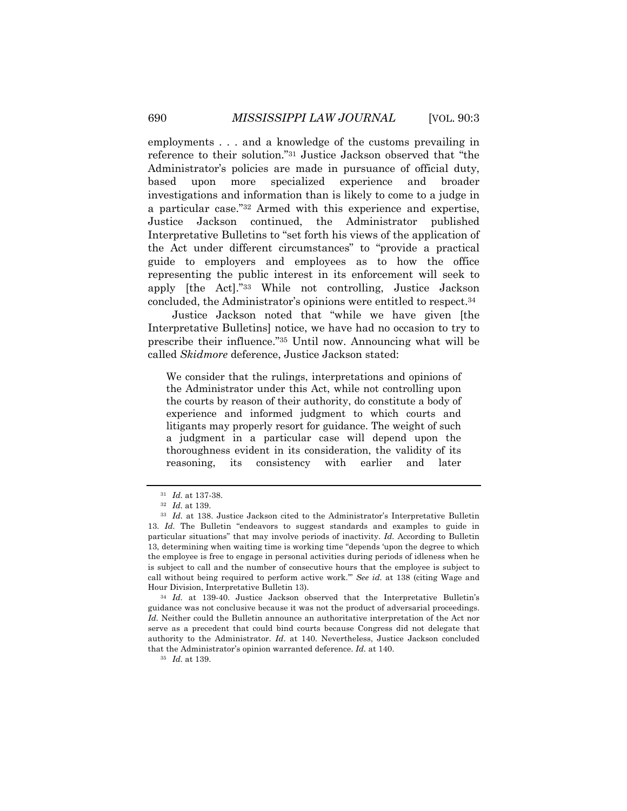employments . . . and a knowledge of the customs prevailing in reference to their solution."31 Justice Jackson observed that "the Administrator's policies are made in pursuance of official duty, based upon more specialized experience and broader investigations and information than is likely to come to a judge in a particular case."32 Armed with this experience and expertise, Justice Jackson continued, the Administrator published Interpretative Bulletins to "set forth his views of the application of the Act under different circumstances" to "provide a practical guide to employers and employees as to how the office representing the public interest in its enforcement will seek to apply [the Act]."33 While not controlling, Justice Jackson concluded, the Administrator's opinions were entitled to respect.34

Justice Jackson noted that "while we have given [the Interpretative Bulletins] notice, we have had no occasion to try to prescribe their influence."35 Until now. Announcing what will be called *Skidmore* deference, Justice Jackson stated:

We consider that the rulings, interpretations and opinions of the Administrator under this Act, while not controlling upon the courts by reason of their authority, do constitute a body of experience and informed judgment to which courts and litigants may properly resort for guidance. The weight of such a judgment in a particular case will depend upon the thoroughness evident in its consideration, the validity of its reasoning, its consistency with earlier and later

<sup>31</sup> *Id.* at 137-38.

<sup>32</sup> *Id.* at 139.

<sup>33</sup> *Id.* at 138. Justice Jackson cited to the Administrator's Interpretative Bulletin 13. *Id.* The Bulletin "endeavors to suggest standards and examples to guide in particular situations" that may involve periods of inactivity. *Id.* According to Bulletin 13, determining when waiting time is working time "depends 'upon the degree to which the employee is free to engage in personal activities during periods of idleness when he is subject to call and the number of consecutive hours that the employee is subject to call without being required to perform active work.'" *See id.* at 138 (citing Wage and Hour Division, Interpretative Bulletin 13).

<sup>34</sup> *Id.* at 139-40. Justice Jackson observed that the Interpretative Bulletin's guidance was not conclusive because it was not the product of adversarial proceedings. *Id.* Neither could the Bulletin announce an authoritative interpretation of the Act nor serve as a precedent that could bind courts because Congress did not delegate that authority to the Administrator. *Id*. at 140. Nevertheless, Justice Jackson concluded that the Administrator's opinion warranted deference. *Id.* at 140.

<sup>35</sup> *Id.* at 139.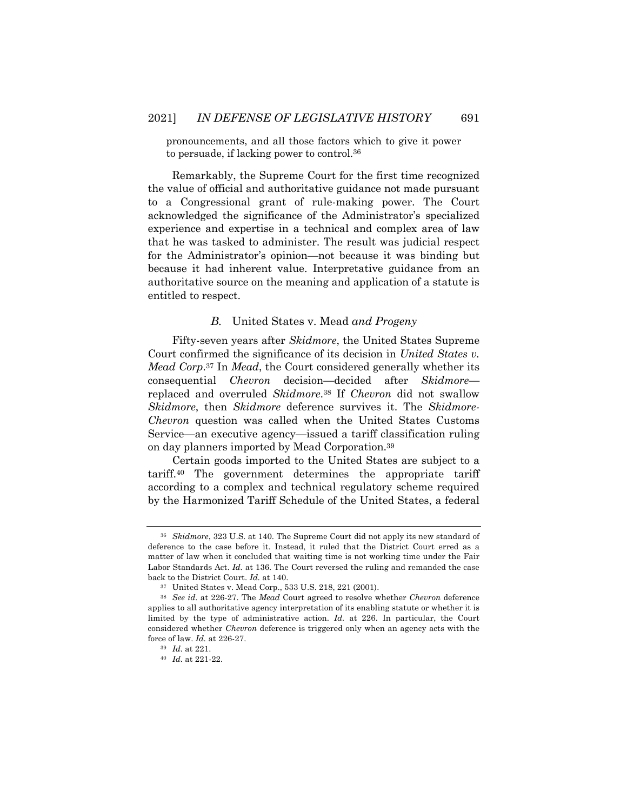pronouncements, and all those factors which to give it power to persuade, if lacking power to control.36

Remarkably, the Supreme Court for the first time recognized the value of official and authoritative guidance not made pursuant to a Congressional grant of rule-making power. The Court acknowledged the significance of the Administrator's specialized experience and expertise in a technical and complex area of law that he was tasked to administer. The result was judicial respect for the Administrator's opinion—not because it was binding but because it had inherent value. Interpretative guidance from an authoritative source on the meaning and application of a statute is entitled to respect.

## *B.* United States v. Mead *and Progeny*

Fifty-seven years after *Skidmore*, the United States Supreme Court confirmed the significance of its decision in *United States v. Mead Corp*.37 In *Mead*, the Court considered generally whether its consequential *Chevron* decision*—*decided after *Skidmore* replaced and overruled *Skidmore*.38 If *Chevron* did not swallow *Skidmore*, then *Skidmore* deference survives it. The *Skidmore-Chevron* question was called when the United States Customs Service—an executive agency—issued a tariff classification ruling on day planners imported by Mead Corporation.39

Certain goods imported to the United States are subject to a tariff.40 The government determines the appropriate tariff according to a complex and technical regulatory scheme required by the Harmonized Tariff Schedule of the United States, a federal

<sup>36</sup> *Skidmore*, 323 U.S. at 140. The Supreme Court did not apply its new standard of deference to the case before it. Instead, it ruled that the District Court erred as a matter of law when it concluded that waiting time is not working time under the Fair Labor Standards Act. *Id.* at 136. The Court reversed the ruling and remanded the case back to the District Court. *Id.* at 140.

<sup>37</sup> United States v. Mead Corp., 533 U.S. 218, 221 (2001).

<sup>38</sup> *See id.* at 226-27. The *Mead* Court agreed to resolve whether *Chevron* deference applies to all authoritative agency interpretation of its enabling statute or whether it is limited by the type of administrative action. *Id.* at 226. In particular, the Court considered whether *Chevron* deference is triggered only when an agency acts with the force of law. *Id.* at 226-27.

<sup>39</sup> *Id.* at 221.

<sup>40</sup> *Id.* at 221-22.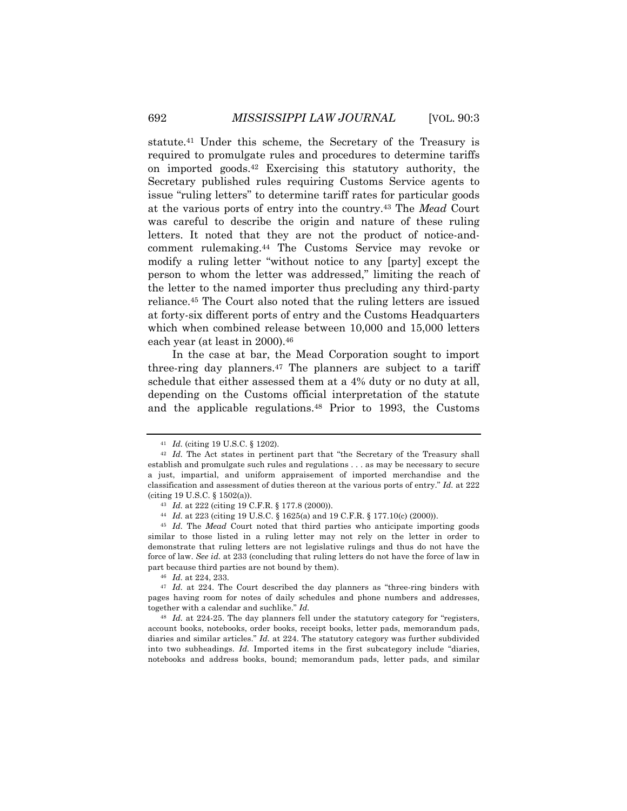statute.41 Under this scheme, the Secretary of the Treasury is required to promulgate rules and procedures to determine tariffs on imported goods.42 Exercising this statutory authority, the Secretary published rules requiring Customs Service agents to issue "ruling letters" to determine tariff rates for particular goods at the various ports of entry into the country.43 The *Mead* Court was careful to describe the origin and nature of these ruling letters. It noted that they are not the product of notice-andcomment rulemaking.44 The Customs Service may revoke or modify a ruling letter "without notice to any [party] except the person to whom the letter was addressed," limiting the reach of the letter to the named importer thus precluding any third-party reliance.45 The Court also noted that the ruling letters are issued at forty-six different ports of entry and the Customs Headquarters which when combined release between 10,000 and 15,000 letters each year (at least in 2000).46

In the case at bar, the Mead Corporation sought to import three-ring day planners.47 The planners are subject to a tariff schedule that either assessed them at a 4% duty or no duty at all, depending on the Customs official interpretation of the statute and the applicable regulations.48 Prior to 1993, the Customs

<sup>41</sup> *Id.* (citing 19 U.S.C. § 1202).

<sup>&</sup>lt;sup>42</sup> *Id.* The Act states in pertinent part that "the Secretary of the Treasury shall establish and promulgate such rules and regulations . . . as may be necessary to secure a just, impartial, and uniform appraisement of imported merchandise and the classification and assessment of duties thereon at the various ports of entry." *Id.* at 222 (citing 19 U.S.C. § 1502(a)).

<sup>43</sup> *Id.* at 222 (citing 19 C.F.R. § 177.8 (2000)).

<sup>44</sup> *Id.* at 223 (citing 19 U.S.C. § 1625(a) and 19 C.F.R. § 177.10(c) (2000)).

<sup>45</sup> *Id.* The *Mead* Court noted that third parties who anticipate importing goods similar to those listed in a ruling letter may not rely on the letter in order to demonstrate that ruling letters are not legislative rulings and thus do not have the force of law. *See id.* at 233 (concluding that ruling letters do not have the force of law in part because third parties are not bound by them).

<sup>46</sup> *Id.* at 224, 233.

<sup>47</sup> *Id.* at 224. The Court described the day planners as "three-ring binders with pages having room for notes of daily schedules and phone numbers and addresses, together with a calendar and suchlike." *Id.*

<sup>48</sup> *Id.* at 224-25. The day planners fell under the statutory category for "registers, account books, notebooks, order books, receipt books, letter pads, memorandum pads, diaries and similar articles." *Id.* at 224. The statutory category was further subdivided into two subheadings. *Id.* Imported items in the first subcategory include "diaries, notebooks and address books, bound; memorandum pads, letter pads, and similar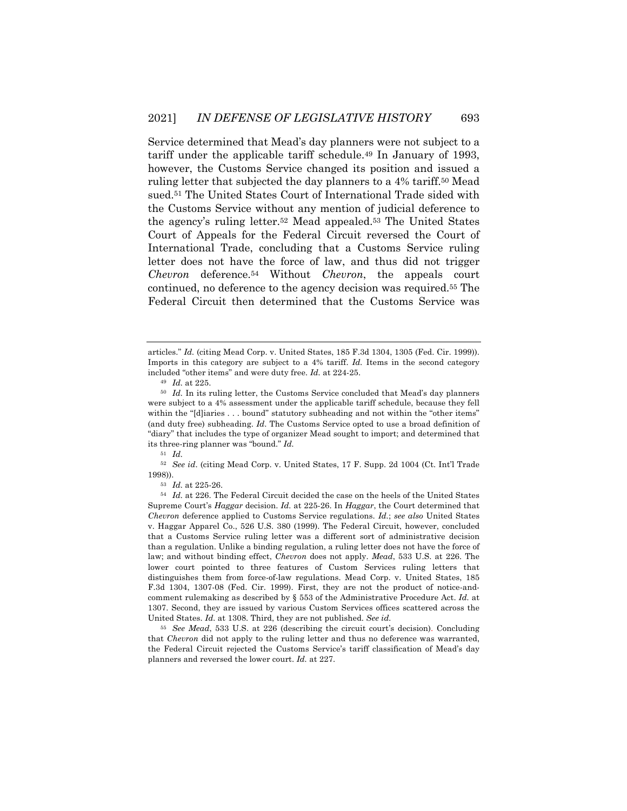Service determined that Mead's day planners were not subject to a tariff under the applicable tariff schedule.49 In January of 1993, however, the Customs Service changed its position and issued a ruling letter that subjected the day planners to a 4% tariff.50 Mead sued.51 The United States Court of International Trade sided with the Customs Service without any mention of judicial deference to the agency's ruling letter.52 Mead appealed.53 The United States Court of Appeals for the Federal Circuit reversed the Court of International Trade, concluding that a Customs Service ruling letter does not have the force of law, and thus did not trigger *Chevron* deference.54 Without *Chevron*, the appeals court continued, no deference to the agency decision was required.55 The Federal Circuit then determined that the Customs Service was

<sup>52</sup> *See id*. (citing Mead Corp. v. United States, 17 F. Supp. 2d 1004 (Ct. Int'l Trade 1998)).

articles." *Id.* (citing Mead Corp. v. United States, 185 F.3d 1304, 1305 (Fed. Cir. 1999)). Imports in this category are subject to a 4% tariff. *Id.* Items in the second category included "other items" and were duty free. *Id.* at 224-25.

<sup>49</sup> *Id.* at 225.

<sup>50</sup> *Id.* In its ruling letter, the Customs Service concluded that Mead's day planners were subject to a 4% assessment under the applicable tariff schedule, because they fell within the "[d]iaries . . . bound" statutory subheading and not within the "other items" (and duty free) subheading. *Id*. The Customs Service opted to use a broad definition of "diary" that includes the type of organizer Mead sought to import; and determined that its three-ring planner was "bound." *Id.*

<sup>51</sup> *Id.*

<sup>53</sup> *Id.* at 225-26.

<sup>54</sup> *Id.* at 226. The Federal Circuit decided the case on the heels of the United States Supreme Court's *Haggar* decision. *Id.* at 225-26. In *Haggar*, the Court determined that *Chevron* deference applied to Customs Service regulations. *Id.*; *see also* United States v. Haggar Apparel Co., 526 U.S. 380 (1999). The Federal Circuit, however, concluded that a Customs Service ruling letter was a different sort of administrative decision than a regulation. Unlike a binding regulation, a ruling letter does not have the force of law; and without binding effect, *Chevron* does not apply. *Mead*, 533 U.S. at 226. The lower court pointed to three features of Custom Services ruling letters that distinguishes them from force-of-law regulations. Mead Corp. v. United States, 185 F.3d 1304, 1307-08 (Fed. Cir. 1999). First, they are not the product of notice-andcomment rulemaking as described by § 553 of the Administrative Procedure Act. *Id.* at 1307. Second, they are issued by various Custom Services offices scattered across the United States. *Id.* at 1308. Third, they are not published. *See id.* 

<sup>55</sup> *See Mead*, 533 U.S. at 226 (describing the circuit court's decision). Concluding that *Chevron* did not apply to the ruling letter and thus no deference was warranted, the Federal Circuit rejected the Customs Service's tariff classification of Mead's day planners and reversed the lower court. *Id.* at 227.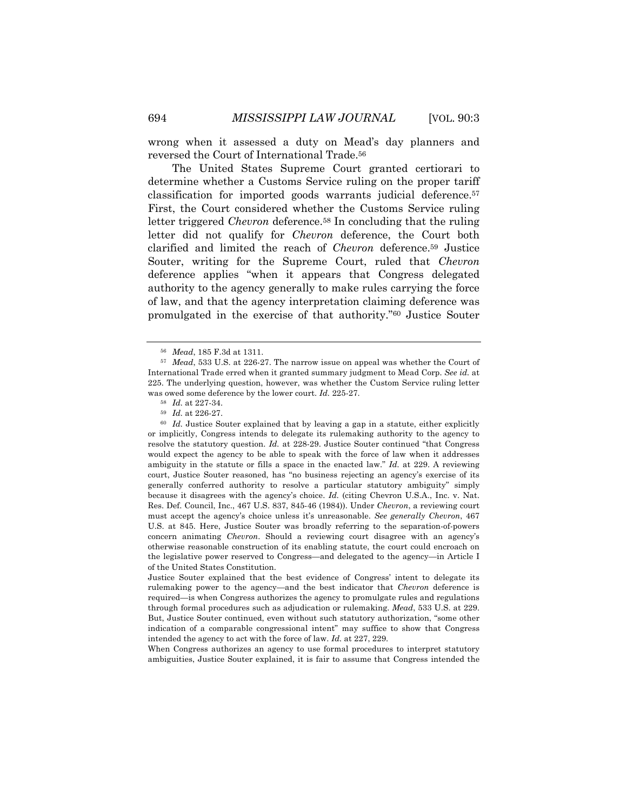wrong when it assessed a duty on Mead's day planners and reversed the Court of International Trade.56

The United States Supreme Court granted certiorari to determine whether a Customs Service ruling on the proper tariff classification for imported goods warrants judicial deference.57 First, the Court considered whether the Customs Service ruling letter triggered *Chevron* deference.<sup>58</sup> In concluding that the ruling letter did not qualify for *Chevron* deference, the Court both clarified and limited the reach of *Chevron* deference.59 Justice Souter, writing for the Supreme Court, ruled that *Chevron* deference applies "when it appears that Congress delegated authority to the agency generally to make rules carrying the force of law, and that the agency interpretation claiming deference was promulgated in the exercise of that authority."60 Justice Souter

<sup>60</sup> *Id.* Justice Souter explained that by leaving a gap in a statute, either explicitly or implicitly, Congress intends to delegate its rulemaking authority to the agency to resolve the statutory question. *Id.* at 228-29. Justice Souter continued "that Congress would expect the agency to be able to speak with the force of law when it addresses ambiguity in the statute or fills a space in the enacted law." *Id.* at 229. A reviewing court, Justice Souter reasoned, has "no business rejecting an agency's exercise of its generally conferred authority to resolve a particular statutory ambiguity" simply because it disagrees with the agency's choice. *Id.* (citing Chevron U.S.A., Inc. v. Nat. Res. Def. Council, Inc., 467 U.S. 837, 845-46 (1984)). Under *Chevron*, a reviewing court must accept the agency's choice unless it's unreasonable. *See generally Chevron*, 467 U.S. at 845. Here, Justice Souter was broadly referring to the separation-of-powers concern animating *Chevron*. Should a reviewing court disagree with an agency's otherwise reasonable construction of its enabling statute, the court could encroach on the legislative power reserved to Congress—and delegated to the agency—in Article I of the United States Constitution.

Justice Souter explained that the best evidence of Congress' intent to delegate its rulemaking power to the agency—and the best indicator that *Chevron* deference is required—is when Congress authorizes the agency to promulgate rules and regulations through formal procedures such as adjudication or rulemaking. *Mead*, 533 U.S. at 229. But, Justice Souter continued, even without such statutory authorization, "some other indication of a comparable congressional intent" may suffice to show that Congress intended the agency to act with the force of law. *Id.* at 227, 229.

When Congress authorizes an agency to use formal procedures to interpret statutory ambiguities, Justice Souter explained, it is fair to assume that Congress intended the

<sup>56</sup> *Mead*, 185 F.3d at 1311.

<sup>57</sup> *Mead*, 533 U.S. at 226-27. The narrow issue on appeal was whether the Court of International Trade erred when it granted summary judgment to Mead Corp. *See id.* at 225. The underlying question, however, was whether the Custom Service ruling letter was owed some deference by the lower court. *Id.* 225-27.

<sup>58</sup> *Id.* at 227-34.

<sup>59</sup> *Id.* at 226-27.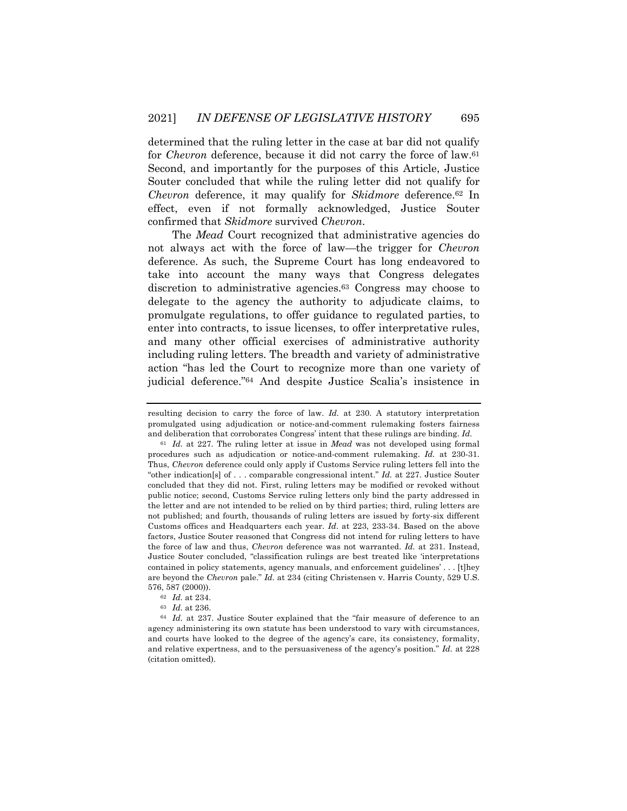determined that the ruling letter in the case at bar did not qualify for *Chevron* deference, because it did not carry the force of law.61 Second, and importantly for the purposes of this Article, Justice Souter concluded that while the ruling letter did not qualify for *Chevron* deference, it may qualify for *Skidmore* deference.62 In effect, even if not formally acknowledged, Justice Souter confirmed that *Skidmore* survived *Chevron*.

The *Mead* Court recognized that administrative agencies do not always act with the force of law—the trigger for *Chevron* deference. As such, the Supreme Court has long endeavored to take into account the many ways that Congress delegates discretion to administrative agencies.63 Congress may choose to delegate to the agency the authority to adjudicate claims, to promulgate regulations, to offer guidance to regulated parties, to enter into contracts, to issue licenses, to offer interpretative rules, and many other official exercises of administrative authority including ruling letters. The breadth and variety of administrative action "has led the Court to recognize more than one variety of judicial deference."64 And despite Justice Scalia's insistence in

resulting decision to carry the force of law. *Id.* at 230. A statutory interpretation promulgated using adjudication or notice-and-comment rulemaking fosters fairness and deliberation that corroborates Congress' intent that these rulings are binding. *Id.*

<sup>61</sup> *Id.* at 227. The ruling letter at issue in *Mead* was not developed using formal procedures such as adjudication or notice-and-comment rulemaking. *Id.* at 230-31. Thus, *Chevron* deference could only apply if Customs Service ruling letters fell into the "other indication[s] of . . . comparable congressional intent." *Id.* at 227. Justice Souter concluded that they did not. First, ruling letters may be modified or revoked without public notice; second, Customs Service ruling letters only bind the party addressed in the letter and are not intended to be relied on by third parties; third, ruling letters are not published; and fourth, thousands of ruling letters are issued by forty-six different Customs offices and Headquarters each year. *Id*. at 223, 233-34. Based on the above factors, Justice Souter reasoned that Congress did not intend for ruling letters to have the force of law and thus, *Chevron* deference was not warranted. *Id.* at 231. Instead, Justice Souter concluded, "classification rulings are best treated like 'interpretations contained in policy statements, agency manuals, and enforcement guidelines' . . . [t]hey are beyond the *Chevron* pale." *Id.* at 234 (citing Christensen v. Harris County, 529 U.S. 576, 587 (2000)).

<sup>62</sup> *Id.* at 234.

<sup>63</sup> *Id.* at 236.

<sup>64</sup> *Id.* at 237. Justice Souter explained that the "fair measure of deference to an agency administering its own statute has been understood to vary with circumstances, and courts have looked to the degree of the agency's care, its consistency, formality, and relative expertness, and to the persuasiveness of the agency's position." *Id.* at 228 (citation omitted).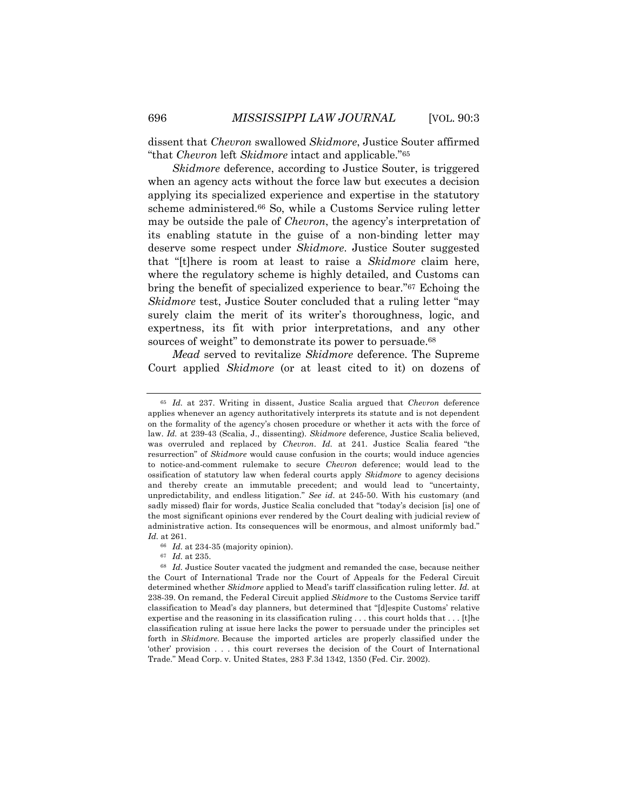dissent that *Chevron* swallowed *Skidmore*, Justice Souter affirmed "that *Chevron* left *Skidmore* intact and applicable."65

*Skidmore* deference, according to Justice Souter, is triggered when an agency acts without the force law but executes a decision applying its specialized experience and expertise in the statutory scheme administered.66 So, while a Customs Service ruling letter may be outside the pale of *Chevron*, the agency's interpretation of its enabling statute in the guise of a non-binding letter may deserve some respect under *Skidmore*. Justice Souter suggested that "[t]here is room at least to raise a *Skidmore* claim here, where the regulatory scheme is highly detailed, and Customs can bring the benefit of specialized experience to bear."67 Echoing the *Skidmore* test, Justice Souter concluded that a ruling letter "may surely claim the merit of its writer's thoroughness, logic, and expertness, its fit with prior interpretations, and any other sources of weight" to demonstrate its power to persuade.<sup>68</sup>

*Mead* served to revitalize *Skidmore* deference. The Supreme Court applied *Skidmore* (or at least cited to it) on dozens of

<sup>65</sup> *Id.* at 237. Writing in dissent, Justice Scalia argued that *Chevron* deference applies whenever an agency authoritatively interprets its statute and is not dependent on the formality of the agency's chosen procedure or whether it acts with the force of law. *Id.* at 239-43 (Scalia, J., dissenting). *Skidmore* deference, Justice Scalia believed, was overruled and replaced by *Chevron*. *Id.* at 241. Justice Scalia feared "the resurrection" of *Skidmore* would cause confusion in the courts; would induce agencies to notice-and-comment rulemake to secure *Chevron* deference; would lead to the ossification of statutory law when federal courts apply *Skidmore* to agency decisions and thereby create an immutable precedent; and would lead to "uncertainty, unpredictability, and endless litigation." *See id*. at 245-50. With his customary (and sadly missed) flair for words, Justice Scalia concluded that "today's decision [is] one of the most significant opinions ever rendered by the Court dealing with judicial review of administrative action. Its consequences will be enormous, and almost uniformly bad." *Id.* at 261.

<sup>66</sup> *Id.* at 234-35 (majority opinion).

<sup>67</sup> *Id.* at 235.

<sup>68</sup> *Id.* Justice Souter vacated the judgment and remanded the case, because neither the Court of International Trade nor the Court of Appeals for the Federal Circuit determined whether *Skidmore* applied to Mead's tariff classification ruling letter. *Id.* at 238-39. On remand, the Federal Circuit applied *Skidmore* to the Customs Service tariff classification to Mead's day planners, but determined that "[d]espite Customs' relative expertise and the reasoning in its classification ruling . . . this court holds that . . . [t]he classification ruling at issue here lacks the power to persuade under the principles set forth in *Skidmore.* Because the imported articles are properly classified under the 'other' provision . . . this court reverses the decision of the Court of International Trade." Mead Corp. v. United States, 283 F.3d 1342, 1350 (Fed. Cir. 2002).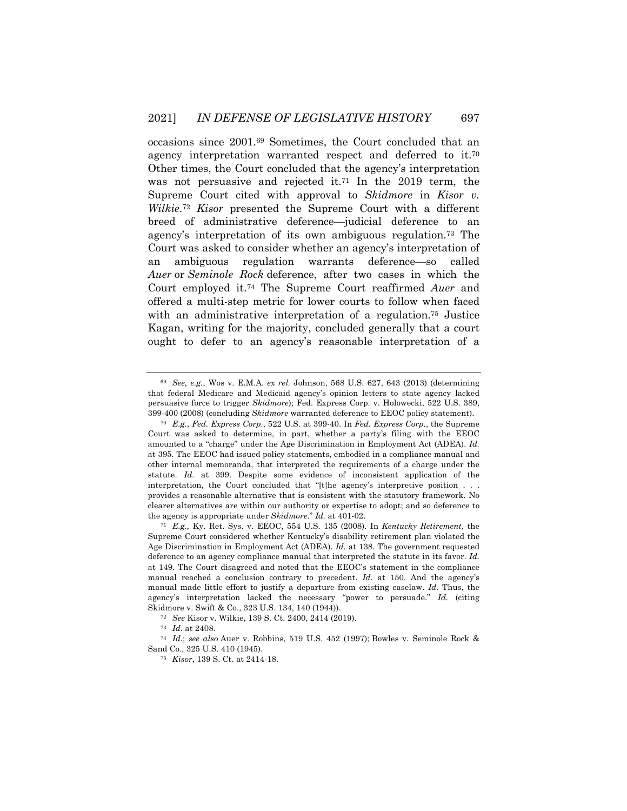occasions since 2001.69 Sometimes, the Court concluded that an agency interpretation warranted respect and deferred to it.70 Other times, the Court concluded that the agency's interpretation was not persuasive and rejected it.71 In the 2019 term, the Supreme Court cited with approval to *Skidmore* in *Kisor v. Wilkie*.72 *Kisor* presented the Supreme Court with a different breed of administrative deference—judicial deference to an agency's interpretation of its own ambiguous regulation.73 The Court was asked to consider whether an agency's interpretation of an ambiguous regulation warrants deference—so called *Auer* or *Seminole Rock* deference, after two cases in which the Court employed it.74 The Supreme Court reaffirmed *Auer* and offered a multi-step metric for lower courts to follow when faced with an administrative interpretation of a regulation.75 Justice Kagan, writing for the majority, concluded generally that a court ought to defer to an agency's reasonable interpretation of a

<sup>69</sup> *See, e.g.*, Wos v. E.M.A. *ex rel.* Johnson, 568 U.S. 627, 643 (2013) (determining that federal Medicare and Medicaid agency's opinion letters to state agency lacked persuasive force to trigger *Skidmore*); Fed. Express Corp. v. Holowecki, 522 U.S. 389, 399-400 (2008) (concluding *Skidmore* warranted deference to EEOC policy statement).

<sup>70</sup> *E.g.*, *Fed. Express Corp.*, 522 U.S. at 399-40. In *Fed. Express Corp.*, the Supreme Court was asked to determine, in part, whether a party's filing with the EEOC amounted to a "charge" under the Age Discrimination in Employment Act (ADEA). *Id.* at 395. The EEOC had issued policy statements, embodied in a compliance manual and other internal memoranda, that interpreted the requirements of a charge under the statute. *Id.* at 399. Despite some evidence of inconsistent application of the interpretation, the Court concluded that "[t]he agency's interpretive position . . . provides a reasonable alternative that is consistent with the statutory framework. No clearer alternatives are within our authority or expertise to adopt; and so deference to the agency is appropriate under *Skidmore*." *Id.* at 401-02.

<sup>71</sup> *E.g.,* Ky. Ret. Sys. v. EEOC, 554 U.S. 135 (2008). In *Kentucky Retirement*, the Supreme Court considered whether Kentucky's disability retirement plan violated the Age Discrimination in Employment Act (ADEA). *Id.* at 138. The government requested deference to an agency compliance manual that interpreted the statute in its favor. *Id.* at 149. The Court disagreed and noted that the EEOC's statement in the compliance manual reached a conclusion contrary to precedent. *Id.* at 150. And the agency's manual made little effort to justify a departure from existing caselaw. *Id.* Thus, the agency's interpretation lacked the necessary "power to persuade." *Id.* (citing Skidmore v. Swift & Co., 323 U.S. 134, 140 (1944)).

<sup>72</sup> *See* Kisor v. Wilkie, 139 S. Ct. 2400, 2414 (2019).

<sup>73</sup> *Id.* at 2408.

<sup>74</sup> *Id.*; *see also* Auer v. Robbins, 519 U.S. 452 (1997); Bowles v. Seminole Rock & Sand Co., 325 U.S. 410 (1945).

<sup>75</sup> *Kisor*, 139 S. Ct. at 2414-18.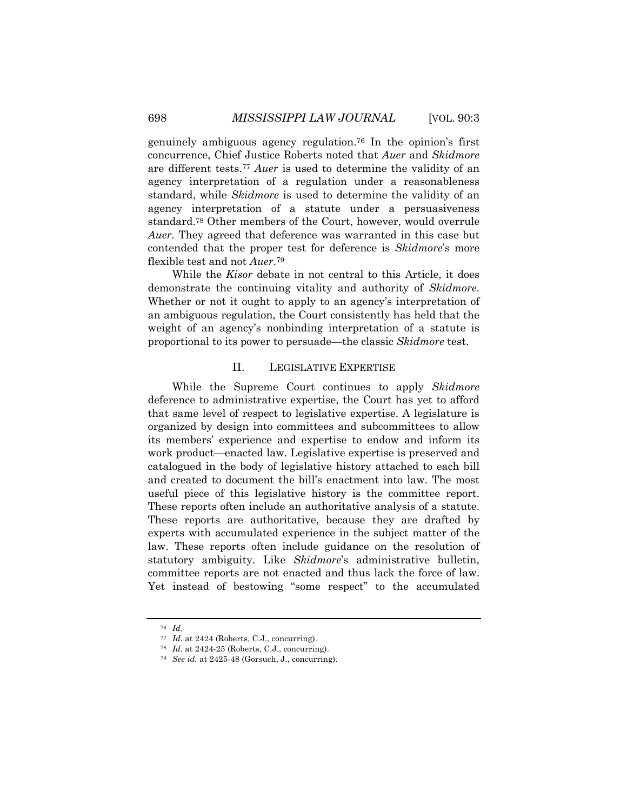genuinely ambiguous agency regulation.76 In the opinion's first concurrence, Chief Justice Roberts noted that *Auer* and *Skidmore* are different tests.77 *Auer* is used to determine the validity of an agency interpretation of a regulation under a reasonableness standard, while *Skidmore* is used to determine the validity of an agency interpretation of a statute under a persuasiveness standard.78 Other members of the Court, however, would overrule *Auer*. They agreed that deference was warranted in this case but contended that the proper test for deference is *Skidmore*'s more flexible test and not *Auer*.79

While the *Kisor* debate in not central to this Article, it does demonstrate the continuing vitality and authority of *Skidmore*. Whether or not it ought to apply to an agency's interpretation of an ambiguous regulation, the Court consistently has held that the weight of an agency's nonbinding interpretation of a statute is proportional to its power to persuade—the classic *Skidmore* test.

## II. LEGISLATIVE EXPERTISE

While the Supreme Court continues to apply *Skidmore*  deference to administrative expertise, the Court has yet to afford that same level of respect to legislative expertise. A legislature is organized by design into committees and subcommittees to allow its members' experience and expertise to endow and inform its work product—enacted law. Legislative expertise is preserved and catalogued in the body of legislative history attached to each bill and created to document the bill's enactment into law. The most useful piece of this legislative history is the committee report. These reports often include an authoritative analysis of a statute. These reports are authoritative, because they are drafted by experts with accumulated experience in the subject matter of the law. These reports often include guidance on the resolution of statutory ambiguity. Like *Skidmore*'s administrative bulletin, committee reports are not enacted and thus lack the force of law. Yet instead of bestowing "some respect" to the accumulated

<sup>76</sup> *Id.*

<sup>77</sup> *Id.* at 2424 (Roberts, C.J., concurring).

<sup>78</sup> *Id.* at 2424-25 (Roberts, C.J., concurring).

<sup>79</sup> *See id.* at 2425-48 (Gorsuch, J., concurring).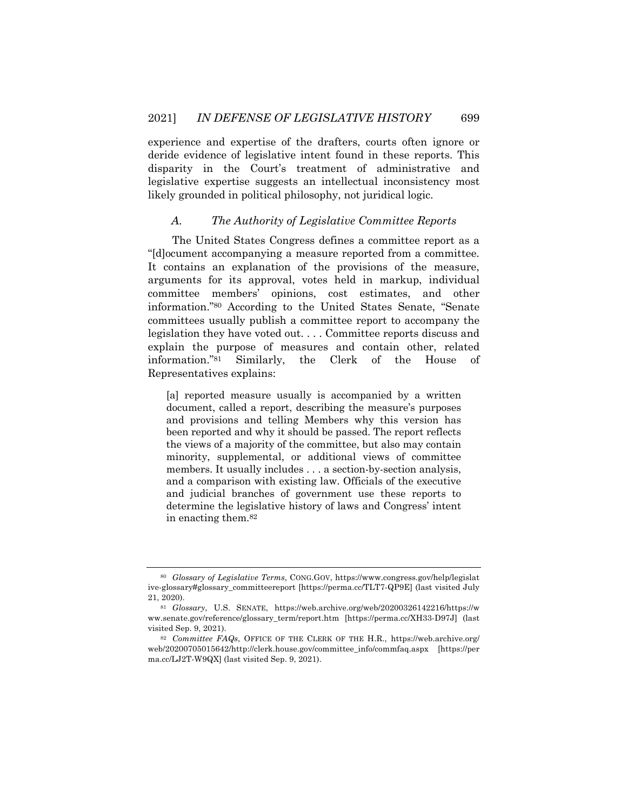experience and expertise of the drafters, courts often ignore or deride evidence of legislative intent found in these reports. This disparity in the Court's treatment of administrative and legislative expertise suggests an intellectual inconsistency most likely grounded in political philosophy, not juridical logic.

## *A. The Authority of Legislative Committee Reports*

The United States Congress defines a committee report as a "[d]ocument accompanying a measure reported from a committee. It contains an explanation of the provisions of the measure, arguments for its approval, votes held in markup, individual committee members' opinions, cost estimates, and other information."80 According to the United States Senate, "Senate committees usually publish a committee report to accompany the legislation they have voted out. . . . Committee reports discuss and explain the purpose of measures and contain other, related information."81 Similarly, the Clerk of the House of Representatives explains:

[a] reported measure usually is accompanied by a written document, called a report, describing the measure's purposes and provisions and telling Members why this version has been reported and why it should be passed. The report reflects the views of a majority of the committee, but also may contain minority, supplemental, or additional views of committee members. It usually includes . . . a section-by-section analysis, and a comparison with existing law. Officials of the executive and judicial branches of government use these reports to determine the legislative history of laws and Congress' intent in enacting them.82

<sup>80</sup> *Glossary of Legislative Terms*, CONG.GOV, https://www.congress.gov/help/legislat ive-glossary#glossary\_committeereport [https://perma.cc/TLT7-QP9E] (last visited July 21, 2020).

<sup>81</sup> *Glossary*, U.S. SENATE, https://web.archive.org/web/20200326142216/https://w ww.senate.gov/reference/glossary\_term/report.htm [https://perma.cc/XH33-D97J] (last visited Sep. 9, 2021).

<sup>82</sup> *Committee FAQs*, OFFICE OF THE CLERK OF THE H.R., https://web.archive.org/ web/20200705015642/http://clerk.house.gov/committee\_info/commfaq.aspx [https://per ma.cc/LJ2T-W9QX] (last visited Sep. 9, 2021).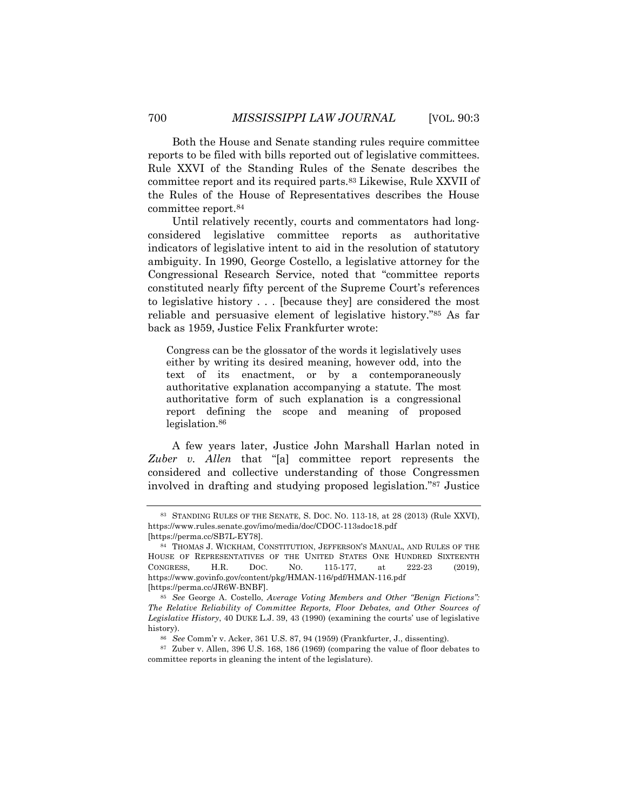Both the House and Senate standing rules require committee reports to be filed with bills reported out of legislative committees. Rule XXVI of the Standing Rules of the Senate describes the committee report and its required parts.83 Likewise, Rule XXVII of the Rules of the House of Representatives describes the House committee report.84

Until relatively recently, courts and commentators had longconsidered legislative committee reports as authoritative indicators of legislative intent to aid in the resolution of statutory ambiguity. In 1990, George Costello, a legislative attorney for the Congressional Research Service, noted that "committee reports constituted nearly fifty percent of the Supreme Court's references to legislative history . . . [because they] are considered the most reliable and persuasive element of legislative history."85 As far back as 1959, Justice Felix Frankfurter wrote:

Congress can be the glossator of the words it legislatively uses either by writing its desired meaning, however odd, into the text of its enactment, or by a contemporaneously authoritative explanation accompanying a statute. The most authoritative form of such explanation is a congressional report defining the scope and meaning of proposed legislation.<sup>86</sup>

A few years later, Justice John Marshall Harlan noted in *Zuber v. Allen* that "[a] committee report represents the considered and collective understanding of those Congressmen involved in drafting and studying proposed legislation."87 Justice

<sup>83</sup> STANDING RULES OF THE SENATE, S. DOC. NO. 113-18, at 28 (2013) (Rule XXVI), https://www.rules.senate.gov/imo/media/doc/CDOC-113sdoc18.pdf [https://perma.cc/SB7L-EY78].

<sup>84</sup> THOMAS J. WICKHAM, CONSTITUTION, JEFFERSON'S MANUAL, AND RULES OF THE HOUSE OF REPRESENTATIVES OF THE UNITED STATES ONE HUNDRED SIXTEENTH CONGRESS, H.R. DOC. NO. 115-177, at 222-23 (2019), https://www.govinfo.gov/content/pkg/HMAN-116/pdf/HMAN-116.pdf [https://perma.cc/JR6W-BNBF].

<sup>85</sup> *See* George A. Costello, *Average Voting Members and Other "Benign Fictions": The Relative Reliability of Committee Reports, Floor Debates, and Other Sources of Legislative History*, 40 DUKE L.J. 39, 43 (1990) (examining the courts' use of legislative history).

<sup>86</sup> *See* Comm'r v. Acker, 361 U.S. 87, 94 (1959) (Frankfurter, J., dissenting).

<sup>87</sup> Zuber v. Allen, 396 U.S. 168, 186 (1969) (comparing the value of floor debates to committee reports in gleaning the intent of the legislature).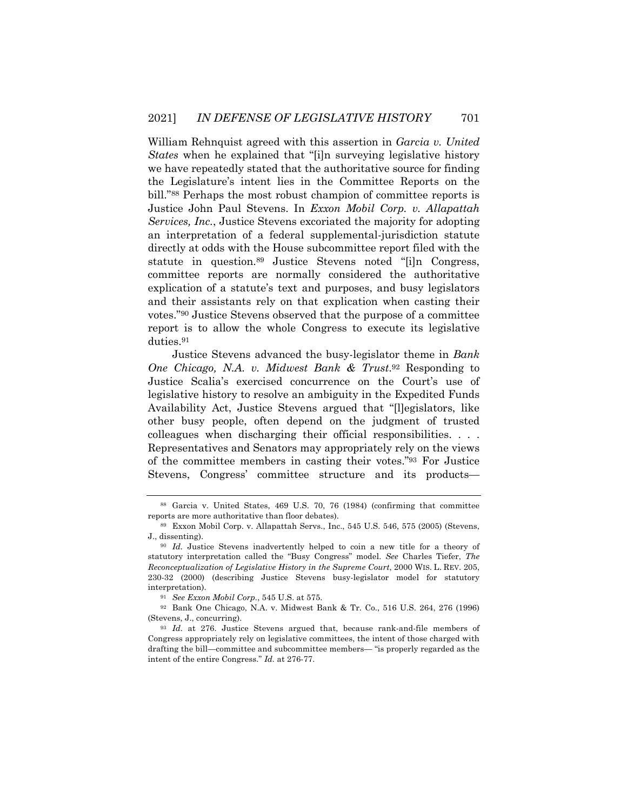William Rehnquist agreed with this assertion in *Garcia v. United States* when he explained that "[i]n surveying legislative history we have repeatedly stated that the authoritative source for finding the Legislature's intent lies in the Committee Reports on the bill."88 Perhaps the most robust champion of committee reports is Justice John Paul Stevens. In *Exxon Mobil Corp. v. Allapattah Services, Inc.*, Justice Stevens excoriated the majority for adopting an interpretation of a federal supplemental-jurisdiction statute directly at odds with the House subcommittee report filed with the statute in question.89 Justice Stevens noted "[i]n Congress, committee reports are normally considered the authoritative explication of a statute's text and purposes, and busy legislators and their assistants rely on that explication when casting their votes."90 Justice Stevens observed that the purpose of a committee report is to allow the whole Congress to execute its legislative duties.91

Justice Stevens advanced the busy-legislator theme in *Bank One Chicago, N.A. v. Midwest Bank & Trust*.92 Responding to Justice Scalia's exercised concurrence on the Court's use of legislative history to resolve an ambiguity in the Expedited Funds Availability Act, Justice Stevens argued that "[l]egislators, like other busy people, often depend on the judgment of trusted colleagues when discharging their official responsibilities. . . . Representatives and Senators may appropriately rely on the views of the committee members in casting their votes."93 For Justice Stevens, Congress' committee structure and its products—

<sup>88</sup> Garcia v. United States, 469 U.S. 70, 76 (1984) (confirming that committee reports are more authoritative than floor debates).

<sup>89</sup> Exxon Mobil Corp. v. Allapattah Servs., Inc., 545 U.S. 546, 575 (2005) (Stevens, J., dissenting).

<sup>90</sup> *Id.* Justice Stevens inadvertently helped to coin a new title for a theory of statutory interpretation called the "Busy Congress" model. *See* Charles Tiefer, *The Reconceptualization of Legislative History in the Supreme Court*, 2000 WIS. L. REV. 205, 230-32 (2000) (describing Justice Stevens busy-legislator model for statutory interpretation).

<sup>91</sup> *See Exxon Mobil Corp.*, 545 U.S. at 575.

<sup>92</sup> Bank One Chicago, N.A. v. Midwest Bank & Tr. Co., 516 U.S. 264, 276 (1996) (Stevens, J., concurring).

<sup>93</sup> *Id.* at 276. Justice Stevens argued that, because rank-and-file members of Congress appropriately rely on legislative committees, the intent of those charged with drafting the bill—committee and subcommittee members— "is properly regarded as the intent of the entire Congress." *Id.* at 276-77.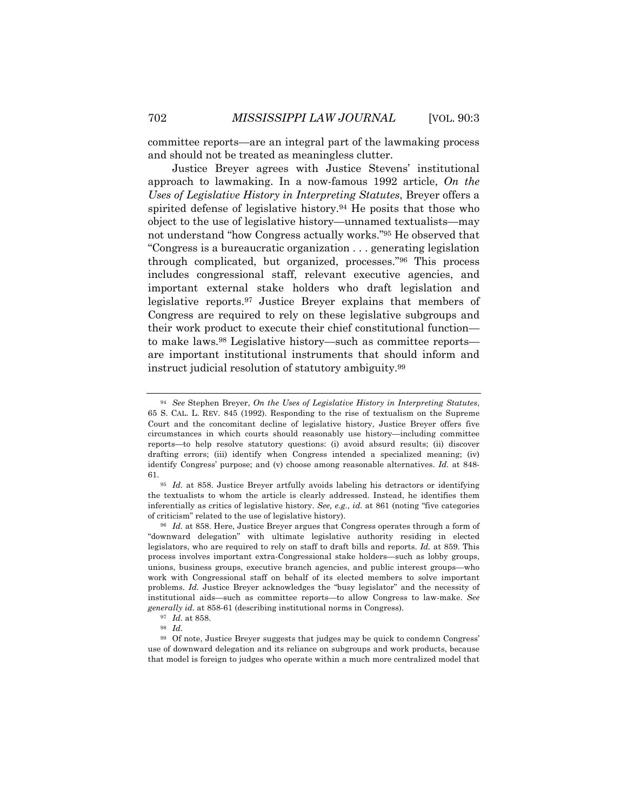committee reports—are an integral part of the lawmaking process and should not be treated as meaningless clutter.

Justice Breyer agrees with Justice Stevens' institutional approach to lawmaking. In a now-famous 1992 article, *On the Uses of Legislative History in Interpreting Statutes*, Breyer offers a spirited defense of legislative history.94 He posits that those who object to the use of legislative history—unnamed textualists—may not understand "how Congress actually works."95 He observed that "Congress is a bureaucratic organization . . . generating legislation through complicated, but organized, processes."96 This process includes congressional staff, relevant executive agencies, and important external stake holders who draft legislation and legislative reports.97 Justice Breyer explains that members of Congress are required to rely on these legislative subgroups and their work product to execute their chief constitutional function to make laws.98 Legislative history—such as committee reports are important institutional instruments that should inform and instruct judicial resolution of statutory ambiguity.99

<sup>94</sup> *See* Stephen Breyer, *On the Uses of Legislative History in Interpreting Statutes*, 65 S. CAL. L. REV. 845 (1992). Responding to the rise of textualism on the Supreme Court and the concomitant decline of legislative history, Justice Breyer offers five circumstances in which courts should reasonably use history—including committee reports—to help resolve statutory questions: (i) avoid absurd results; (ii) discover drafting errors; (iii) identify when Congress intended a specialized meaning; (iv) identify Congress' purpose; and (v) choose among reasonable alternatives. *Id.* at 848- 61.

<sup>&</sup>lt;sup>95</sup> *Id.* at 858. Justice Breyer artfully avoids labeling his detractors or identifying the textualists to whom the article is clearly addressed. Instead, he identifies them inferentially as critics of legislative history. *See, e.g.*, *id.* at 861 (noting "five categories of criticism" related to the use of legislative history).

<sup>96</sup> *Id.* at 858. Here, Justice Breyer argues that Congress operates through a form of "downward delegation" with ultimate legislative authority residing in elected legislators, who are required to rely on staff to draft bills and reports. *Id.* at 859. This process involves important extra-Congressional stake holders—such as lobby groups, unions, business groups, executive branch agencies, and public interest groups—who work with Congressional staff on behalf of its elected members to solve important problems. *Id.* Justice Breyer acknowledges the "busy legislator" and the necessity of institutional aids—such as committee reports—to allow Congress to law-make. *See generally id.* at 858-61 (describing institutional norms in Congress).

<sup>97</sup> *Id.* at 858.

<sup>98</sup> *Id.*

<sup>99</sup> Of note, Justice Breyer suggests that judges may be quick to condemn Congress' use of downward delegation and its reliance on subgroups and work products, because that model is foreign to judges who operate within a much more centralized model that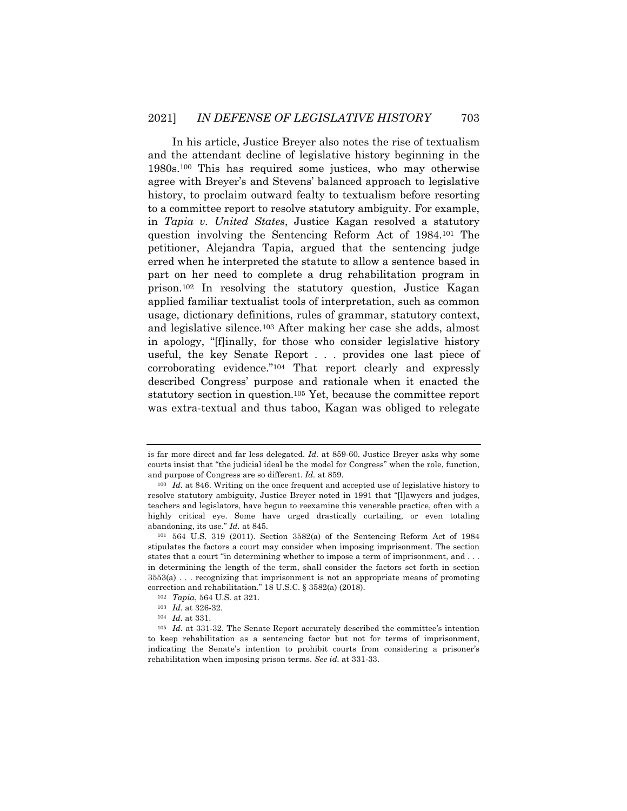In his article, Justice Breyer also notes the rise of textualism and the attendant decline of legislative history beginning in the 1980s.100 This has required some justices, who may otherwise agree with Breyer's and Stevens' balanced approach to legislative history, to proclaim outward fealty to textualism before resorting to a committee report to resolve statutory ambiguity. For example, in *Tapia v. United States*, Justice Kagan resolved a statutory question involving the Sentencing Reform Act of 1984.101 The petitioner, Alejandra Tapia, argued that the sentencing judge erred when he interpreted the statute to allow a sentence based in part on her need to complete a drug rehabilitation program in prison.102 In resolving the statutory question, Justice Kagan applied familiar textualist tools of interpretation, such as common usage, dictionary definitions, rules of grammar, statutory context, and legislative silence.103 After making her case she adds, almost in apology, "[f]inally, for those who consider legislative history useful, the key Senate Report . . . provides one last piece of corroborating evidence."104 That report clearly and expressly described Congress' purpose and rationale when it enacted the statutory section in question.105 Yet, because the committee report was extra-textual and thus taboo, Kagan was obliged to relegate

is far more direct and far less delegated. *Id.* at 859-60. Justice Breyer asks why some courts insist that "the judicial ideal be the model for Congress" when the role, function, and purpose of Congress are so different. *Id.* at 859.

<sup>100</sup> *Id.* at 846. Writing on the once frequent and accepted use of legislative history to resolve statutory ambiguity, Justice Breyer noted in 1991 that "[l]awyers and judges, teachers and legislators, have begun to reexamine this venerable practice, often with a highly critical eye. Some have urged drastically curtailing, or even totaling abandoning, its use." *Id.* at 845.

<sup>101</sup> 564 U.S. 319 (2011). Section 3582(a) of the Sentencing Reform Act of 1984 stipulates the factors a court may consider when imposing imprisonment. The section states that a court "in determining whether to impose a term of imprisonment, and . . . in determining the length of the term, shall consider the factors set forth in section 3553(a) . . . recognizing that imprisonment is not an appropriate means of promoting correction and rehabilitation." 18 U.S.C. § 3582(a) (2018).

<sup>102</sup> *Tapia*, 564 U.S. at 321.

<sup>103</sup> *Id.* at 326-32.

<sup>104</sup> *Id.* at 331.

<sup>105</sup> *Id.* at 331-32. The Senate Report accurately described the committee's intention to keep rehabilitation as a sentencing factor but not for terms of imprisonment, indicating the Senate's intention to prohibit courts from considering a prisoner's rehabilitation when imposing prison terms. *See id.* at 331-33.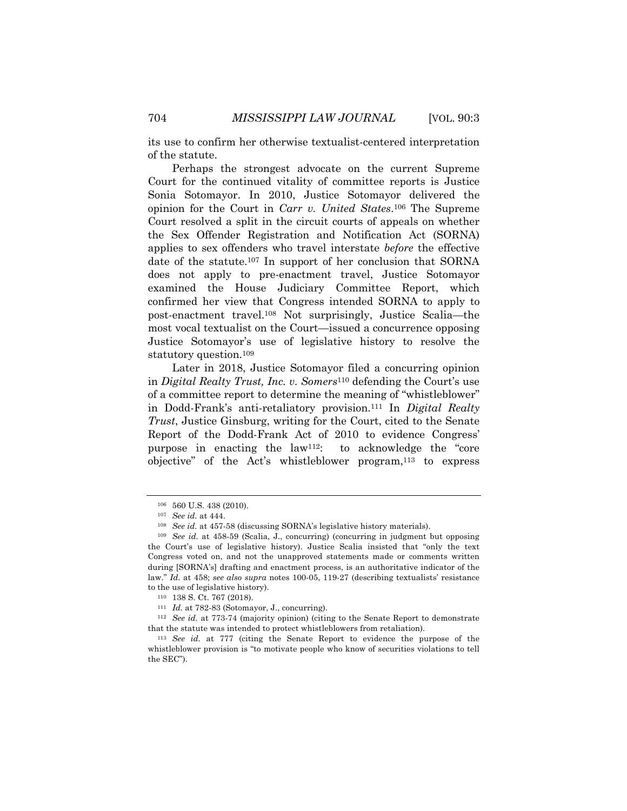its use to confirm her otherwise textualist-centered interpretation of the statute.

Perhaps the strongest advocate on the current Supreme Court for the continued vitality of committee reports is Justice Sonia Sotomayor. In 2010, Justice Sotomayor delivered the opinion for the Court in *Carr v. United States*.106 The Supreme Court resolved a split in the circuit courts of appeals on whether the Sex Offender Registration and Notification Act (SORNA) applies to sex offenders who travel interstate *before* the effective date of the statute.107 In support of her conclusion that SORNA does not apply to pre-enactment travel, Justice Sotomayor examined the House Judiciary Committee Report, which confirmed her view that Congress intended SORNA to apply to post-enactment travel.108 Not surprisingly, Justice Scalia—the most vocal textualist on the Court—issued a concurrence opposing Justice Sotomayor's use of legislative history to resolve the statutory question.109

Later in 2018, Justice Sotomayor filed a concurring opinion in *Digital Realty Trust, Inc. v. Somers*<sup>110</sup> defending the Court's use of a committee report to determine the meaning of "whistleblower" in Dodd-Frank's anti-retaliatory provision.111 In *Digital Realty Trust*, Justice Ginsburg, writing for the Court, cited to the Senate Report of the Dodd-Frank Act of 2010 to evidence Congress' purpose in enacting the law112: to acknowledge the "core objective" of the Act's whistleblower program, $113$  to express

<sup>106</sup> 560 U.S. 438 (2010).

<sup>107</sup> *See id.* at 444.

<sup>108</sup> *See id.* at 457-58 (discussing SORNA's legislative history materials).

<sup>109</sup> *See id.* at 458-59 (Scalia, J., concurring) (concurring in judgment but opposing the Court's use of legislative history). Justice Scalia insisted that "only the text Congress voted on, and not the unapproved statements made or comments written during [SORNA's] drafting and enactment process, is an authoritative indicator of the law." *Id.* at 458; *see also supra* notes 100-05, 119-27 (describing textualists' resistance to the use of legislative history).

<sup>110</sup> 138 S. Ct. 767 (2018).

<sup>111</sup> *Id.* at 782-83 (Sotomayor, J., concurring).

<sup>112</sup> *See id.* at 773-74 (majority opinion) (citing to the Senate Report to demonstrate that the statute was intended to protect whistleblowers from retaliation).

<sup>113</sup> *See id.* at 777 (citing the Senate Report to evidence the purpose of the whistleblower provision is "to motivate people who know of securities violations to tell the SEC").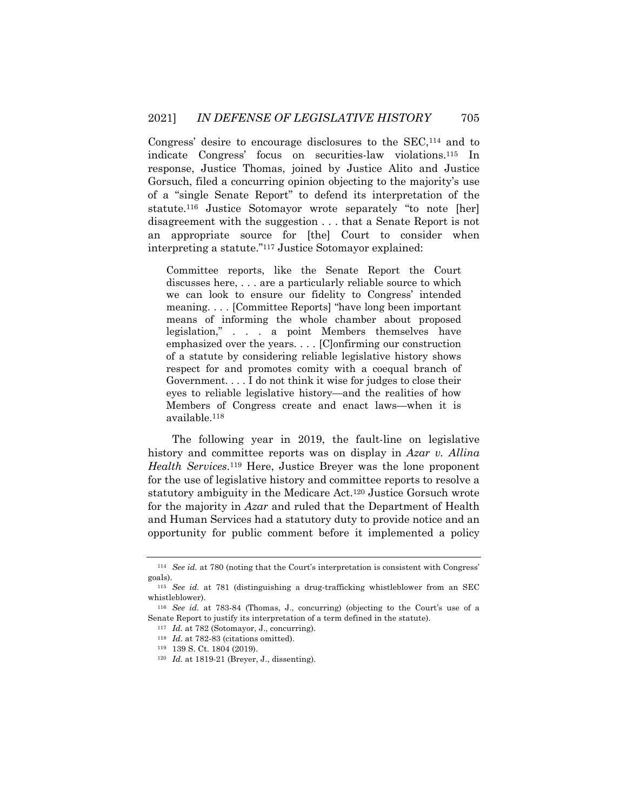Congress' desire to encourage disclosures to the SEC,114 and to indicate Congress' focus on securities-law violations.115 In response, Justice Thomas, joined by Justice Alito and Justice Gorsuch, filed a concurring opinion objecting to the majority's use of a "single Senate Report" to defend its interpretation of the statute.116 Justice Sotomayor wrote separately "to note [her] disagreement with the suggestion . . . that a Senate Report is not an appropriate source for [the] Court to consider when interpreting a statute."117 Justice Sotomayor explained:

Committee reports, like the Senate Report the Court discusses here, . . . are a particularly reliable source to which we can look to ensure our fidelity to Congress' intended meaning. . . . [Committee Reports] "have long been important means of informing the whole chamber about proposed legislation," . . . a point Members themselves have emphasized over the years. . . . [C]onfirming our construction of a statute by considering reliable legislative history shows respect for and promotes comity with a coequal branch of Government. . . . I do not think it wise for judges to close their eyes to reliable legislative history—and the realities of how Members of Congress create and enact laws—when it is available.118

The following year in 2019, the fault-line on legislative history and committee reports was on display in *Azar v. Allina Health Services*.119 Here, Justice Breyer was the lone proponent for the use of legislative history and committee reports to resolve a statutory ambiguity in the Medicare Act.120 Justice Gorsuch wrote for the majority in *Azar* and ruled that the Department of Health and Human Services had a statutory duty to provide notice and an opportunity for public comment before it implemented a policy

<sup>114</sup> *See id.* at 780 (noting that the Court's interpretation is consistent with Congress' goals).

<sup>115</sup> *See id.* at 781 (distinguishing a drug-trafficking whistleblower from an SEC whistleblower).

<sup>116</sup> *See id.* at 783-84 (Thomas, J., concurring) (objecting to the Court's use of a Senate Report to justify its interpretation of a term defined in the statute).

<sup>117</sup> *Id.* at 782 (Sotomayor, J., concurring).

<sup>118</sup> *Id.* at 782-83 (citations omitted).

<sup>119</sup> 139 S. Ct. 1804 (2019).

<sup>120</sup> *Id.* at 1819-21 (Breyer, J., dissenting).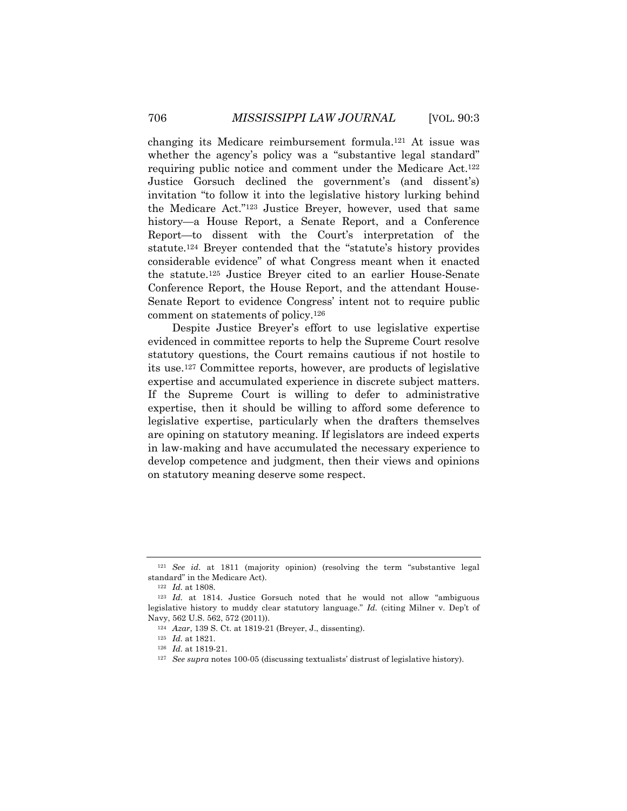changing its Medicare reimbursement formula.121 At issue was whether the agency's policy was a "substantive legal standard" requiring public notice and comment under the Medicare Act.122 Justice Gorsuch declined the government's (and dissent's) invitation "to follow it into the legislative history lurking behind the Medicare Act."123 Justice Breyer, however, used that same history—a House Report, a Senate Report, and a Conference Report—to dissent with the Court's interpretation of the statute.124 Breyer contended that the "statute's history provides considerable evidence" of what Congress meant when it enacted the statute.125 Justice Breyer cited to an earlier House-Senate Conference Report, the House Report, and the attendant House-Senate Report to evidence Congress' intent not to require public comment on statements of policy.126

Despite Justice Breyer's effort to use legislative expertise evidenced in committee reports to help the Supreme Court resolve statutory questions, the Court remains cautious if not hostile to its use.127 Committee reports, however, are products of legislative expertise and accumulated experience in discrete subject matters. If the Supreme Court is willing to defer to administrative expertise, then it should be willing to afford some deference to legislative expertise, particularly when the drafters themselves are opining on statutory meaning. If legislators are indeed experts in law-making and have accumulated the necessary experience to develop competence and judgment, then their views and opinions on statutory meaning deserve some respect.

<sup>121</sup> *See id.* at 1811 (majority opinion) (resolving the term "substantive legal standard" in the Medicare Act).

<sup>122</sup> *Id.* at 1808.

<sup>123</sup> *Id.* at 1814. Justice Gorsuch noted that he would not allow "ambiguous legislative history to muddy clear statutory language." *Id.* (citing Milner v. Dep't of Navy, 562 U.S. 562, 572 (2011)).

<sup>124</sup> *Azar*, 139 S. Ct. at 1819-21 (Breyer, J., dissenting).

<sup>125</sup> *Id.* at 1821.

<sup>126</sup> *Id.* at 1819-21.

<sup>127</sup> *See supra* notes 100-05 (discussing textualists' distrust of legislative history).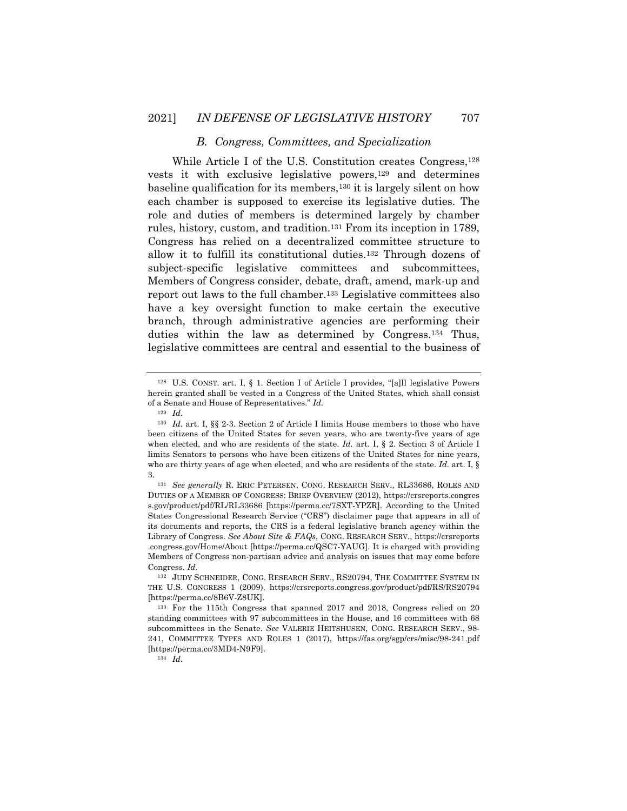## *B. Congress, Committees, and Specialization*

While Article I of the U.S. Constitution creates Congress,128 vests it with exclusive legislative powers,<sup>129</sup> and determines baseline qualification for its members,130 it is largely silent on how each chamber is supposed to exercise its legislative duties. The role and duties of members is determined largely by chamber rules, history, custom, and tradition.131 From its inception in 1789, Congress has relied on a decentralized committee structure to allow it to fulfill its constitutional duties.132 Through dozens of subject-specific legislative committees and subcommittees, Members of Congress consider, debate, draft, amend, mark-up and report out laws to the full chamber.133 Legislative committees also have a key oversight function to make certain the executive branch, through administrative agencies are performing their duties within the law as determined by Congress.134 Thus, legislative committees are central and essential to the business of

<sup>129</sup> *Id.*

<sup>128</sup> U.S. CONST. art. I, § 1. Section I of Article I provides, "[a]ll legislative Powers herein granted shall be vested in a Congress of the United States, which shall consist of a Senate and House of Representatives." *Id.*

<sup>&</sup>lt;sup>130</sup> *Id.* art. I, §§ 2-3. Section 2 of Article I limits House members to those who have been citizens of the United States for seven years, who are twenty-five years of age when elected, and who are residents of the state. *Id.* art. I, § 2. Section 3 of Article I limits Senators to persons who have been citizens of the United States for nine years, who are thirty years of age when elected, and who are residents of the state. *Id.* art. I, § 3.

<sup>131</sup> *See generally* R. ERIC PETERSEN, CONG. RESEARCH SERV., RL33686, ROLES AND DUTIES OF A MEMBER OF CONGRESS: BRIEF OVERVIEW (2012), https://crsreports.congres s.gov/product/pdf/RL/RL33686 [https://perma.cc/7SXT-YPZR]. According to the United States Congressional Research Service ("CRS") disclaimer page that appears in all of its documents and reports, the CRS is a federal legislative branch agency within the Library of Congress. *See About Site & FAQs*, CONG. RESEARCH SERV., https://crsreports .congress.gov/Home/About [https://perma.cc/QSC7-YAUG]. It is charged with providing Members of Congress non-partisan advice and analysis on issues that may come before Congress. *Id.*

<sup>132</sup> JUDY SCHNEIDER, CONG. RESEARCH SERV., RS20794, THE COMMITTEE SYSTEM IN THE U.S. CONGRESS 1 (2009), https://crsreports.congress.gov/product/pdf/RS/RS20794 [https://perma.cc/8B6V-Z8UK].

<sup>133</sup> For the 115th Congress that spanned 2017 and 2018, Congress relied on 20 standing committees with 97 subcommittees in the House, and 16 committees with 68 subcommittees in the Senate. *See* VALERIE HEITSHUSEN, CONG. RESEARCH SERV., 98- 241, COMMITTEE TYPES AND ROLES 1 (2017), https://fas.org/sgp/crs/misc/98-241.pdf [https://perma.cc/3MD4-N9F9].

<sup>134</sup> *Id.*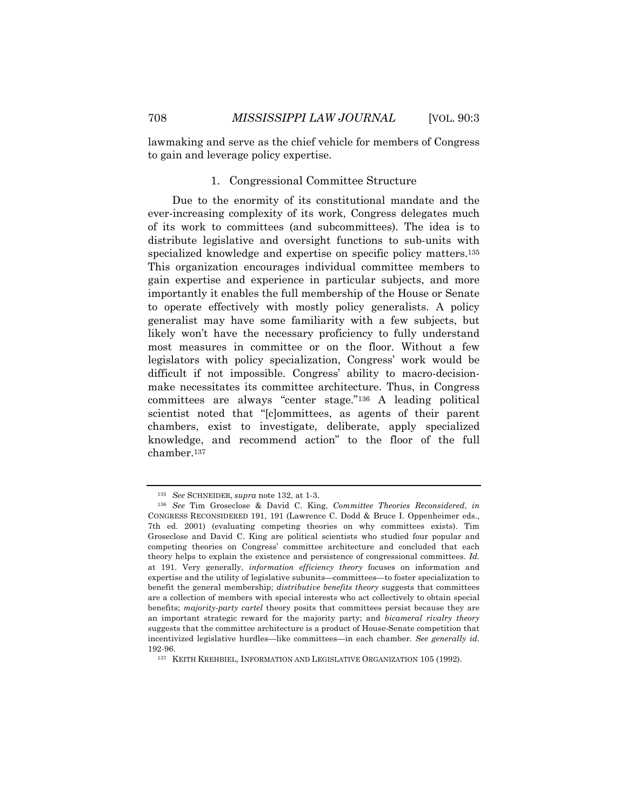lawmaking and serve as the chief vehicle for members of Congress to gain and leverage policy expertise.

#### 1. Congressional Committee Structure

Due to the enormity of its constitutional mandate and the ever-increasing complexity of its work, Congress delegates much of its work to committees (and subcommittees). The idea is to distribute legislative and oversight functions to sub-units with specialized knowledge and expertise on specific policy matters.135 This organization encourages individual committee members to gain expertise and experience in particular subjects, and more importantly it enables the full membership of the House or Senate to operate effectively with mostly policy generalists. A policy generalist may have some familiarity with a few subjects, but likely won't have the necessary proficiency to fully understand most measures in committee or on the floor. Without a few legislators with policy specialization, Congress' work would be difficult if not impossible. Congress' ability to macro-decisionmake necessitates its committee architecture. Thus, in Congress committees are always "center stage."136 A leading political scientist noted that "[c]ommittees, as agents of their parent chambers, exist to investigate, deliberate, apply specialized knowledge, and recommend action" to the floor of the full chamber.137

<sup>135</sup> *See* SCHNEIDER, *supra* note 132, at 1-3.

<sup>136</sup> *See* Tim Groseclose & David C. King, *Committee Theories Reconsidered*, *in* CONGRESS RECONSIDERED 191, 191 (Lawrence C. Dodd & Bruce I. Oppenheimer eds., 7th ed. 2001) (evaluating competing theories on why committees exists). Tim Groseclose and David C. King are political scientists who studied four popular and competing theories on Congress' committee architecture and concluded that each theory helps to explain the existence and persistence of congressional committees. *Id.* at 191. Very generally, *information efficiency theory* focuses on information and expertise and the utility of legislative subunits—committees—to foster specialization to benefit the general membership; *distributive benefits theory* suggests that committees are a collection of members with special interests who act collectively to obtain special benefits; *majority-party cartel* theory posits that committees persist because they are an important strategic reward for the majority party; and *bicameral rivalry theory* suggests that the committee architecture is a product of House-Senate competition that incentivized legislative hurdles—like committees—in each chamber. *See generally id.* 192-96.

<sup>&</sup>lt;sup>137</sup> KEITH KREHBIEL, INFORMATION AND LEGISLATIVE ORGANIZATION 105 (1992).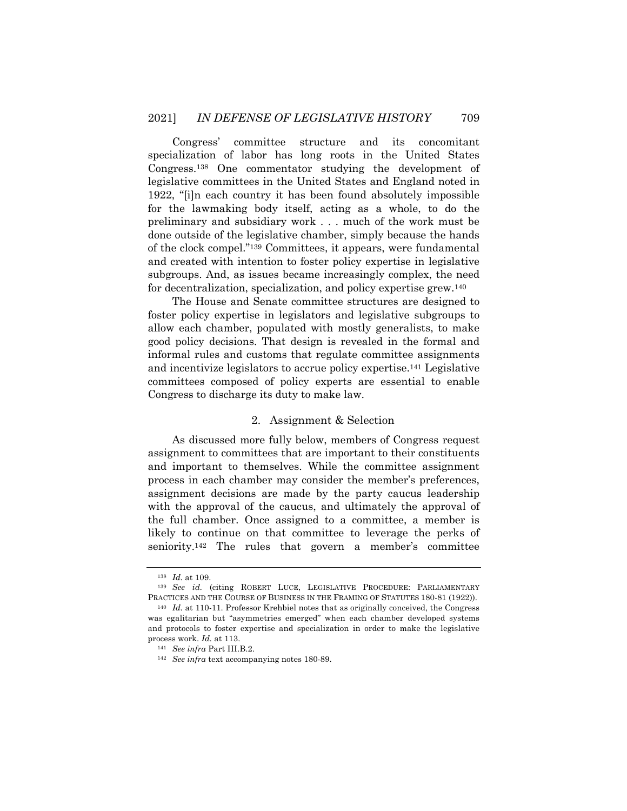Congress' committee structure and its concomitant specialization of labor has long roots in the United States Congress.138 One commentator studying the development of legislative committees in the United States and England noted in 1922, "[i]n each country it has been found absolutely impossible for the lawmaking body itself, acting as a whole, to do the preliminary and subsidiary work . . . much of the work must be done outside of the legislative chamber, simply because the hands of the clock compel."139 Committees, it appears, were fundamental and created with intention to foster policy expertise in legislative subgroups. And, as issues became increasingly complex, the need for decentralization, specialization, and policy expertise grew.140

The House and Senate committee structures are designed to foster policy expertise in legislators and legislative subgroups to allow each chamber, populated with mostly generalists, to make good policy decisions. That design is revealed in the formal and informal rules and customs that regulate committee assignments and incentivize legislators to accrue policy expertise.141 Legislative committees composed of policy experts are essential to enable Congress to discharge its duty to make law.

#### 2. Assignment & Selection

As discussed more fully below, members of Congress request assignment to committees that are important to their constituents and important to themselves. While the committee assignment process in each chamber may consider the member's preferences, assignment decisions are made by the party caucus leadership with the approval of the caucus, and ultimately the approval of the full chamber. Once assigned to a committee, a member is likely to continue on that committee to leverage the perks of seniority.142 The rules that govern a member's committee

<sup>138</sup> *Id.* at 109.

<sup>139</sup> *See id.* (citing ROBERT LUCE, LEGISLATIVE PROCEDURE: PARLIAMENTARY PRACTICES AND THE COURSE OF BUSINESS IN THE FRAMING OF STATUTES 180-81 (1922)).

<sup>140</sup> *Id.* at 110-11. Professor Krehbiel notes that as originally conceived, the Congress was egalitarian but "asymmetries emerged" when each chamber developed systems and protocols to foster expertise and specialization in order to make the legislative process work. *Id.* at 113.

<sup>141</sup> *See infra* Part III.B.2.

<sup>142</sup> *See infra* text accompanying notes 180-89.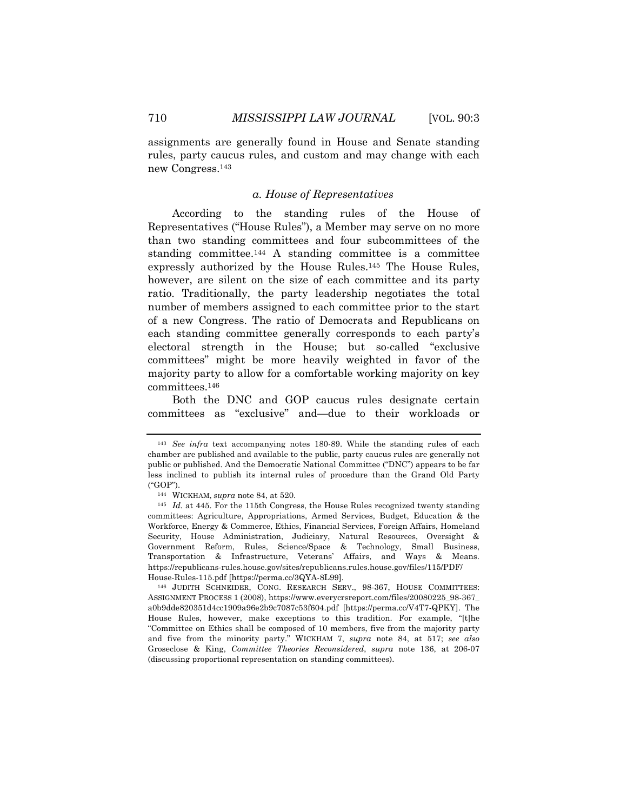assignments are generally found in House and Senate standing rules, party caucus rules, and custom and may change with each new Congress.143

#### *a. House of Representatives*

According to the standing rules of the House of Representatives ("House Rules"), a Member may serve on no more than two standing committees and four subcommittees of the standing committee.144 A standing committee is a committee expressly authorized by the House Rules.145 The House Rules, however, are silent on the size of each committee and its party ratio. Traditionally, the party leadership negotiates the total number of members assigned to each committee prior to the start of a new Congress. The ratio of Democrats and Republicans on each standing committee generally corresponds to each party's electoral strength in the House; but so-called "exclusive committees" might be more heavily weighted in favor of the majority party to allow for a comfortable working majority on key committees.146

Both the DNC and GOP caucus rules designate certain committees as "exclusive" and—due to their workloads or

<sup>143</sup> *See infra* text accompanying notes 180-89. While the standing rules of each chamber are published and available to the public, party caucus rules are generally not public or published. And the Democratic National Committee ("DNC") appears to be far less inclined to publish its internal rules of procedure than the Grand Old Party ("GOP").

<sup>144</sup> WICKHAM, *supra* note 84, at 520.

<sup>145</sup> *Id.* at 445. For the 115th Congress, the House Rules recognized twenty standing committees: Agriculture, Appropriations, Armed Services, Budget, Education & the Workforce, Energy & Commerce, Ethics, Financial Services, Foreign Affairs, Homeland Security, House Administration, Judiciary, Natural Resources, Oversight & Government Reform, Rules, Science/Space & Technology, Small Business, Transportation & Infrastructure, Veterans' Affairs, and Ways & Means. https://republicans-rules.house.gov/sites/republicans.rules.house.gov/files/115/PDF/ House-Rules-115.pdf [https://perma.cc/3QYA-8L99].

<sup>146</sup> JUDITH SCHNEIDER, CONG. RESEARCH SERV., 98-367, HOUSE COMMITTEES: ASSIGNMENT PROCESS 1 (2008), https://www.everycrsreport.com/files/20080225\_98-367\_ a0b9dde820351d4cc1909a96e2b9c7087c53f604.pdf [https://perma.cc/V4T7-QPKY]. The House Rules, however, make exceptions to this tradition. For example, "[t]he "Committee on Ethics shall be composed of 10 members, five from the majority party and five from the minority party." WICKHAM 7, *supra* note 84, at 517; *see also* Groseclose & King, *Committee Theories Reconsidered*, *supra* note 136, at 206-07 (discussing proportional representation on standing committees).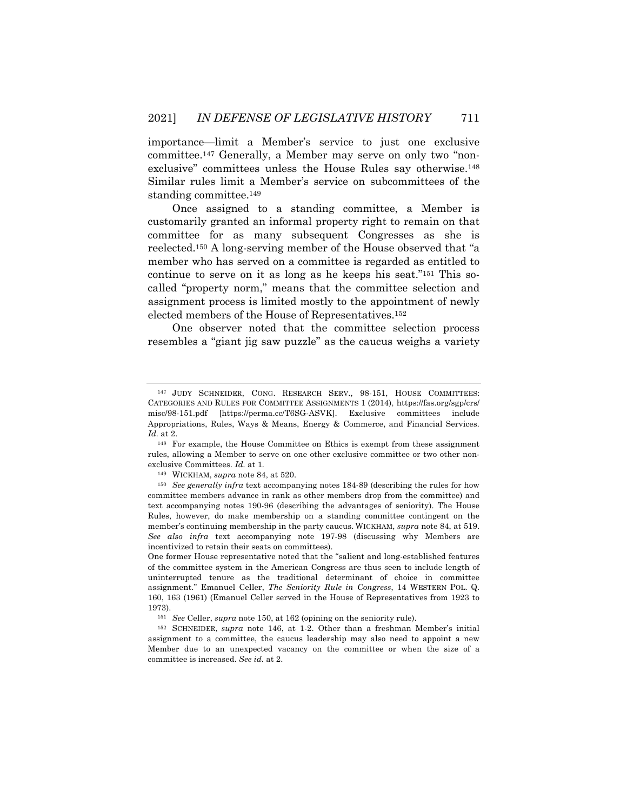importance—limit a Member's service to just one exclusive committee.147 Generally, a Member may serve on only two "nonexclusive" committees unless the House Rules say otherwise.148 Similar rules limit a Member's service on subcommittees of the standing committee.149

Once assigned to a standing committee, a Member is customarily granted an informal property right to remain on that committee for as many subsequent Congresses as she is reelected.150 A long-serving member of the House observed that "a member who has served on a committee is regarded as entitled to continue to serve on it as long as he keeps his seat."151 This socalled "property norm," means that the committee selection and assignment process is limited mostly to the appointment of newly elected members of the House of Representatives.152

One observer noted that the committee selection process resembles a "giant jig saw puzzle" as the caucus weighs a variety

<sup>149</sup> WICKHAM, *supra* note 84, at 520.

<sup>147</sup> JUDY SCHNEIDER, CONG. RESEARCH SERV., 98-151, HOUSE COMMITTEES: CATEGORIES AND RULES FOR COMMITTEE ASSIGNMENTS 1 (2014), https://fas.org/sgp/crs/ misc/98-151.pdf [https://perma.cc/T6SG-ASVK]. Exclusive committees include Appropriations, Rules, Ways & Means, Energy & Commerce, and Financial Services*. Id.* at 2.

<sup>148</sup> For example, the House Committee on Ethics is exempt from these assignment rules, allowing a Member to serve on one other exclusive committee or two other nonexclusive Committees. *Id.* at 1*.*

<sup>150</sup> *See generally infra* text accompanying notes 184-89 (describing the rules for how committee members advance in rank as other members drop from the committee) and text accompanying notes 190-96 (describing the advantages of seniority). The House Rules, however, do make membership on a standing committee contingent on the member's continuing membership in the party caucus. WICKHAM, *supra* note 84, at 519. *See also infra* text accompanying note 197-98 (discussing why Members are incentivized to retain their seats on committees).

One former House representative noted that the "salient and long-established features of the committee system in the American Congress are thus seen to include length of uninterrupted tenure as the traditional determinant of choice in committee assignment." Emanuel Celler, *The Seniority Rule in Congress*, 14 WESTERN POL. Q. 160, 163 (1961) (Emanuel Celler served in the House of Representatives from 1923 to 1973).

<sup>151</sup> *See* Celler, *supra* note 150, at 162 (opining on the seniority rule).

<sup>152</sup> SCHNEIDER, *supra* note 146, at 1-2. Other than a freshman Member's initial assignment to a committee, the caucus leadership may also need to appoint a new Member due to an unexpected vacancy on the committee or when the size of a committee is increased. *See id.* at 2.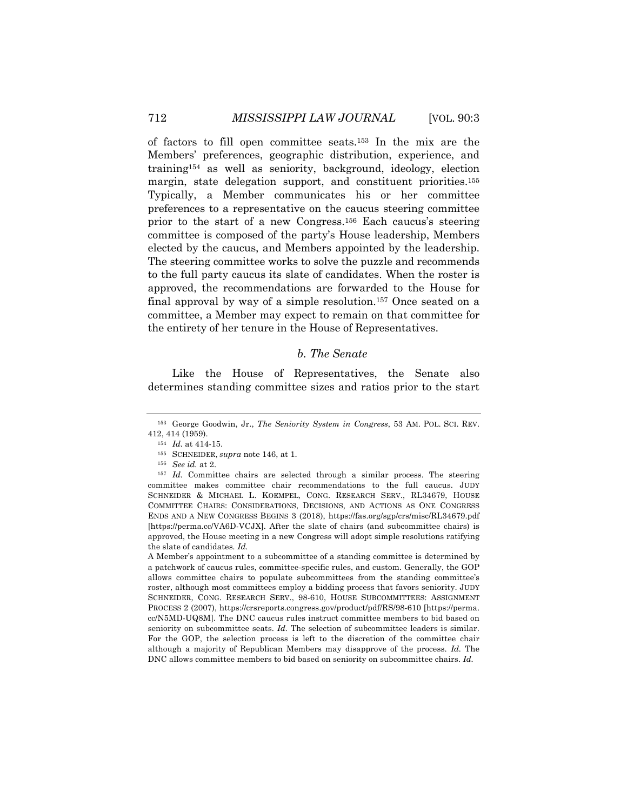of factors to fill open committee seats.153 In the mix are the Members' preferences, geographic distribution, experience, and training154 as well as seniority, background, ideology, election margin, state delegation support, and constituent priorities.<sup>155</sup> Typically, a Member communicates his or her committee preferences to a representative on the caucus steering committee prior to the start of a new Congress.156 Each caucus's steering committee is composed of the party's House leadership, Members elected by the caucus, and Members appointed by the leadership. The steering committee works to solve the puzzle and recommends to the full party caucus its slate of candidates. When the roster is approved, the recommendations are forwarded to the House for final approval by way of a simple resolution.157 Once seated on a committee, a Member may expect to remain on that committee for the entirety of her tenure in the House of Representatives.

## *b. The Senate*

Like the House of Representatives, the Senate also determines standing committee sizes and ratios prior to the start

<sup>153</sup> George Goodwin, Jr., *The Seniority System in Congress*, 53 AM. POL. SCI. REV. 412, 414 (1959).

<sup>154</sup> *Id.* at 414-15.

<sup>155</sup> SCHNEIDER, *supra* note 146, at 1.

<sup>156</sup> *See id.* at 2.

<sup>157</sup> *Id.* Committee chairs are selected through a similar process. The steering committee makes committee chair recommendations to the full caucus. JUDY SCHNEIDER & MICHAEL L. KOEMPEL, CONG. RESEARCH SERV., RL34679, HOUSE COMMITTEE CHAIRS: CONSIDERATIONS, DECISIONS, AND ACTIONS AS ONE CONGRESS ENDS AND A NEW CONGRESS BEGINS 3 (2018), https://fas.org/sgp/crs/misc/RL34679.pdf [https://perma.cc/VA6D-VCJX]. After the slate of chairs (and subcommittee chairs) is approved, the House meeting in a new Congress will adopt simple resolutions ratifying the slate of candidates*. Id.* 

A Member's appointment to a subcommittee of a standing committee is determined by a patchwork of caucus rules, committee-specific rules, and custom. Generally, the GOP allows committee chairs to populate subcommittees from the standing committee's roster, although most committees employ a bidding process that favors seniority. JUDY SCHNEIDER, CONG. RESEARCH SERV., 98-610, HOUSE SUBCOMMITTEES: ASSIGNMENT PROCESS 2 (2007), https://crsreports.congress.gov/product/pdf/RS/98-610 [https://perma. cc/N5MD-UQ8M]. The DNC caucus rules instruct committee members to bid based on seniority on subcommittee seats. *Id.* The selection of subcommittee leaders is similar. For the GOP, the selection process is left to the discretion of the committee chair although a majority of Republican Members may disapprove of the process. *Id.* The DNC allows committee members to bid based on seniority on subcommittee chairs. *Id.*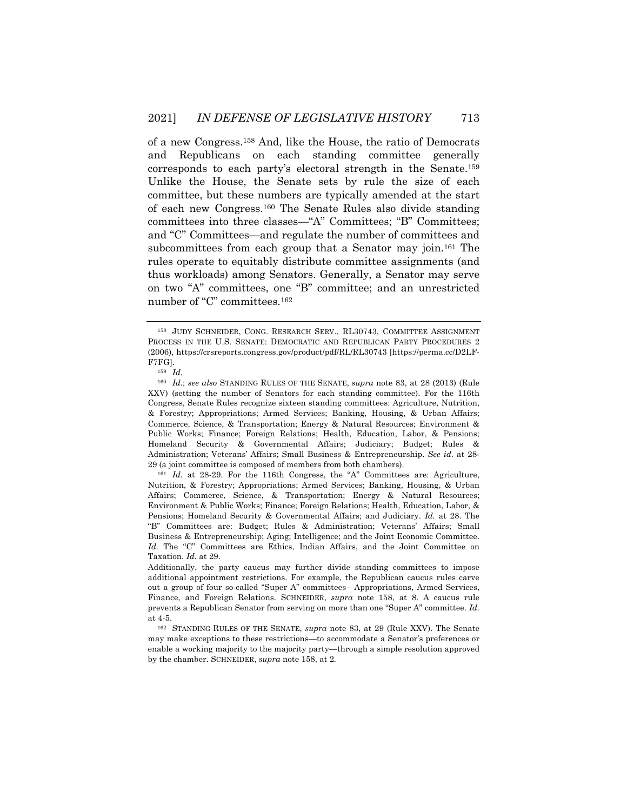of a new Congress.158 And, like the House, the ratio of Democrats and Republicans on each standing committee generally corresponds to each party's electoral strength in the Senate.159 Unlike the House, the Senate sets by rule the size of each committee, but these numbers are typically amended at the start of each new Congress.160 The Senate Rules also divide standing committees into three classes—"A" Committees; "B" Committees; and "C" Committees—and regulate the number of committees and subcommittees from each group that a Senator may join.161 The rules operate to equitably distribute committee assignments (and thus workloads) among Senators. Generally, a Senator may serve on two "A" committees, one "B" committee; and an unrestricted number of "C" committees.162

<sup>158</sup> JUDY SCHNEIDER, CONG. RESEARCH SERV., RL30743, COMMITTEE ASSIGNMENT PROCESS IN THE U.S. SENATE: DEMOCRATIC AND REPUBLICAN PARTY PROCEDURES 2 (2006), https://crsreports.congress.gov/product/pdf/RL/RL30743 [https://perma.cc/D2LF-F7FG].

<sup>159</sup> *Id.*

<sup>160</sup> *Id.*; *see also* STANDING RULES OF THE SENATE, *supra* note 83, at 28 (2013) (Rule XXV) (setting the number of Senators for each standing committee). For the 116th Congress, Senate Rules recognize sixteen standing committees: Agriculture, Nutrition, & Forestry; Appropriations; Armed Services; Banking, Housing, & Urban Affairs; Commerce, Science, & Transportation; Energy & Natural Resources; Environment & Public Works; Finance; Foreign Relations; Health, Education, Labor, & Pensions; Homeland Security & Governmental Affairs; Judiciary; Budget; Rules & Administration; Veterans' Affairs; Small Business & Entrepreneurship. *See id.* at 28- 29 (a joint committee is composed of members from both chambers).

<sup>161</sup> *Id.* at 28-29. For the 116th Congress, the "A" Committees are: Agriculture, Nutrition, & Forestry; Appropriations; Armed Services; Banking, Housing, & Urban Affairs; Commerce, Science, & Transportation; Energy & Natural Resources; Environment & Public Works; Finance; Foreign Relations; Health, Education, Labor, & Pensions; Homeland Security & Governmental Affairs; and Judiciary. *Id.* at 28. The "B" Committees are: Budget; Rules & Administration; Veterans' Affairs; Small Business & Entrepreneurship; Aging; Intelligence; and the Joint Economic Committee. *Id.* The "C" Committees are Ethics, Indian Affairs, and the Joint Committee on Taxation. *Id.* at 29.

Additionally, the party caucus may further divide standing committees to impose additional appointment restrictions. For example, the Republican caucus rules carve out a group of four so-called "Super A" committees—Appropriations, Armed Services, Finance, and Foreign Relations. SCHNEIDER, *supra* note 158, at 8. A caucus rule prevents a Republican Senator from serving on more than one "Super A" committee. *Id.*  at 4-5.

<sup>162</sup> STANDING RULES OF THE SENATE, *supra* note 83, at 29 (Rule XXV). The Senate may make exceptions to these restrictions—to accommodate a Senator's preferences or enable a working majority to the majority party—through a simple resolution approved by the chamber. SCHNEIDER, *supra* note 158, at 2*.*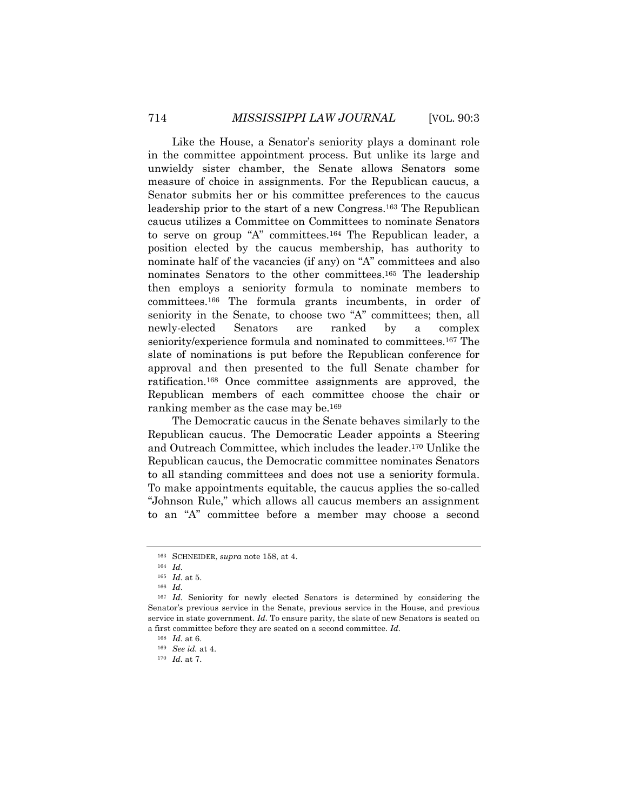Like the House, a Senator's seniority plays a dominant role in the committee appointment process. But unlike its large and unwieldy sister chamber, the Senate allows Senators some measure of choice in assignments. For the Republican caucus, a Senator submits her or his committee preferences to the caucus leadership prior to the start of a new Congress.163 The Republican caucus utilizes a Committee on Committees to nominate Senators to serve on group "A" committees.164 The Republican leader, a position elected by the caucus membership, has authority to nominate half of the vacancies (if any) on "A" committees and also nominates Senators to the other committees.165 The leadership then employs a seniority formula to nominate members to committees.166 The formula grants incumbents, in order of seniority in the Senate, to choose two "A" committees; then, all newly-elected Senators are ranked by a complex seniority/experience formula and nominated to committees.<sup>167</sup> The slate of nominations is put before the Republican conference for approval and then presented to the full Senate chamber for ratification.168 Once committee assignments are approved, the Republican members of each committee choose the chair or ranking member as the case may be.169

The Democratic caucus in the Senate behaves similarly to the Republican caucus. The Democratic Leader appoints a Steering and Outreach Committee, which includes the leader.170 Unlike the Republican caucus, the Democratic committee nominates Senators to all standing committees and does not use a seniority formula. To make appointments equitable, the caucus applies the so-called "Johnson Rule," which allows all caucus members an assignment to an "A" committee before a member may choose a second

<sup>163</sup> SCHNEIDER, *supra* note 158, at 4.

<sup>164</sup> *Id.* 

<sup>165</sup> *Id.* at 5.

<sup>166</sup> *Id.*

<sup>167</sup> *Id.* Seniority for newly elected Senators is determined by considering the Senator's previous service in the Senate, previous service in the House, and previous service in state government. *Id.* To ensure parity, the slate of new Senators is seated on a first committee before they are seated on a second committee. *Id.*

<sup>168</sup> *Id.* at 6.

<sup>169</sup> *See id.* at 4.

<sup>170</sup> *Id.* at 7.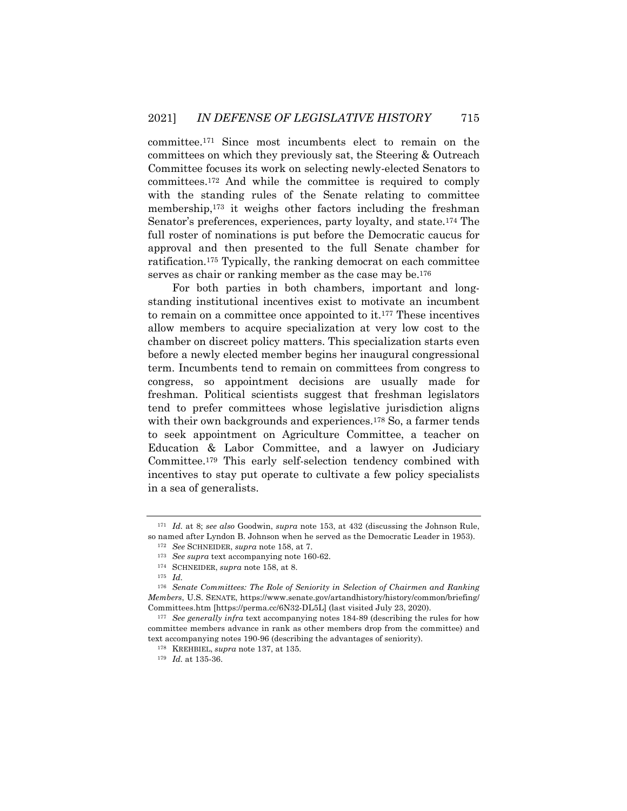committee.171 Since most incumbents elect to remain on the committees on which they previously sat, the Steering & Outreach Committee focuses its work on selecting newly-elected Senators to committees.172 And while the committee is required to comply with the standing rules of the Senate relating to committee membership,173 it weighs other factors including the freshman Senator's preferences, experiences, party loyalty, and state.174 The full roster of nominations is put before the Democratic caucus for approval and then presented to the full Senate chamber for ratification.175 Typically, the ranking democrat on each committee serves as chair or ranking member as the case may be.<sup>176</sup>

For both parties in both chambers, important and longstanding institutional incentives exist to motivate an incumbent to remain on a committee once appointed to it.177 These incentives allow members to acquire specialization at very low cost to the chamber on discreet policy matters. This specialization starts even before a newly elected member begins her inaugural congressional term. Incumbents tend to remain on committees from congress to congress, so appointment decisions are usually made for freshman. Political scientists suggest that freshman legislators tend to prefer committees whose legislative jurisdiction aligns with their own backgrounds and experiences.<sup>178</sup> So, a farmer tends to seek appointment on Agriculture Committee, a teacher on Education & Labor Committee, and a lawyer on Judiciary Committee.179 This early self-selection tendency combined with incentives to stay put operate to cultivate a few policy specialists in a sea of generalists.

<sup>171</sup> *Id.* at 8; *see also* Goodwin, *supra* note 153, at 432 (discussing the Johnson Rule, so named after Lyndon B. Johnson when he served as the Democratic Leader in 1953).

<sup>172</sup> *See* SCHNEIDER, *supra* note 158, at 7.

<sup>173</sup> *See supra* text accompanying note 160-62.

<sup>174</sup> SCHNEIDER, *supra* note 158, at 8.

<sup>175</sup> *Id.*

<sup>176</sup> *Senate Committees: The Role of Seniority in Selection of Chairmen and Ranking Members*, U.S. SENATE, https://www.senate.gov/artandhistory/history/common/briefing/ Committees.htm [https://perma.cc/6N32-DL5L] (last visited July 23, 2020).

<sup>177</sup> *See generally infra* text accompanying notes 184-89 (describing the rules for how committee members advance in rank as other members drop from the committee) and text accompanying notes 190-96 (describing the advantages of seniority).

<sup>178</sup> KREHBIEL, *supra* note 137, at 135.

<sup>179</sup> *Id.* at 135-36.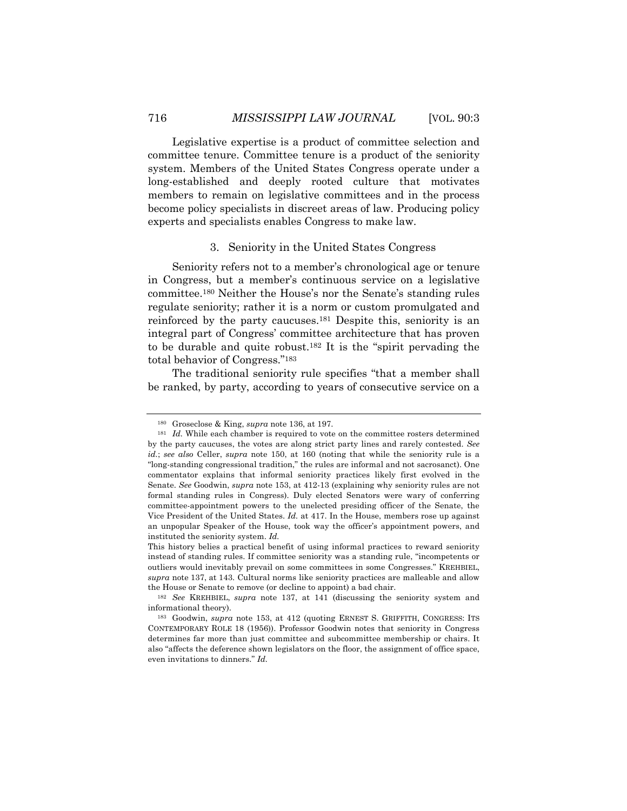Legislative expertise is a product of committee selection and committee tenure. Committee tenure is a product of the seniority system. Members of the United States Congress operate under a long-established and deeply rooted culture that motivates members to remain on legislative committees and in the process become policy specialists in discreet areas of law. Producing policy experts and specialists enables Congress to make law.

## 3. Seniority in the United States Congress

Seniority refers not to a member's chronological age or tenure in Congress, but a member's continuous service on a legislative committee.180 Neither the House's nor the Senate's standing rules regulate seniority; rather it is a norm or custom promulgated and reinforced by the party caucuses.181 Despite this, seniority is an integral part of Congress' committee architecture that has proven to be durable and quite robust.182 It is the "spirit pervading the total behavior of Congress."183

The traditional seniority rule specifies "that a member shall be ranked, by party, according to years of consecutive service on a

<sup>180</sup> Groseclose & King, *supra* note 136, at 197.

<sup>&</sup>lt;sup>181</sup> *Id.* While each chamber is required to vote on the committee rosters determined by the party caucuses, the votes are along strict party lines and rarely contested. *See id.*; *see also* Celler, *supra* note 150, at 160 (noting that while the seniority rule is a "long-standing congressional tradition," the rules are informal and not sacrosanct). One commentator explains that informal seniority practices likely first evolved in the Senate. *See* Goodwin, *supra* note 153, at 412-13 (explaining why seniority rules are not formal standing rules in Congress). Duly elected Senators were wary of conferring committee-appointment powers to the unelected presiding officer of the Senate, the Vice President of the United States. *Id.* at 417. In the House, members rose up against an unpopular Speaker of the House, took way the officer's appointment powers, and instituted the seniority system. *Id.*

This history belies a practical benefit of using informal practices to reward seniority instead of standing rules. If committee seniority was a standing rule, "incompetents or outliers would inevitably prevail on some committees in some Congresses." KREHBIEL, *supra* note 137, at 143. Cultural norms like seniority practices are malleable and allow the House or Senate to remove (or decline to appoint) a bad chair.

<sup>182</sup> *See* KREHBIEL, *supra* note 137, at 141 (discussing the seniority system and informational theory).

<sup>183</sup> Goodwin, *supra* note 153, at 412 (quoting ERNEST S. GRIFFITH, CONGRESS: ITS CONTEMPORARY ROLE 18 (1956)). Professor Goodwin notes that seniority in Congress determines far more than just committee and subcommittee membership or chairs. It also "affects the deference shown legislators on the floor, the assignment of office space, even invitations to dinners." *Id.*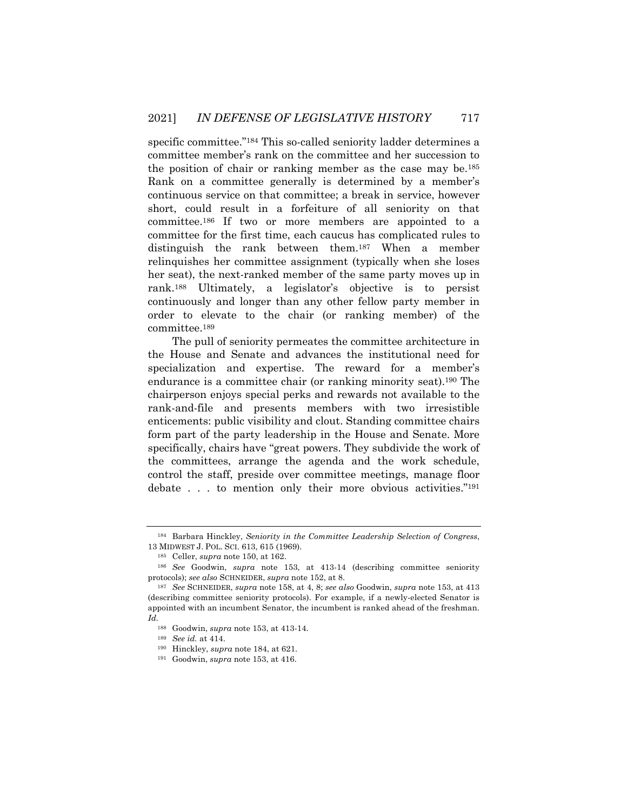specific committee."184 This so-called seniority ladder determines a committee member's rank on the committee and her succession to the position of chair or ranking member as the case may be.185 Rank on a committee generally is determined by a member's continuous service on that committee; a break in service, however short, could result in a forfeiture of all seniority on that committee.186 If two or more members are appointed to a committee for the first time, each caucus has complicated rules to distinguish the rank between them.187 When a member relinquishes her committee assignment (typically when she loses her seat), the next-ranked member of the same party moves up in rank.188 Ultimately, a legislator's objective is to persist continuously and longer than any other fellow party member in order to elevate to the chair (or ranking member) of the committee.189

The pull of seniority permeates the committee architecture in the House and Senate and advances the institutional need for specialization and expertise. The reward for a member's endurance is a committee chair (or ranking minority seat).190 The chairperson enjoys special perks and rewards not available to the rank-and-file and presents members with two irresistible enticements: public visibility and clout. Standing committee chairs form part of the party leadership in the House and Senate. More specifically, chairs have "great powers. They subdivide the work of the committees, arrange the agenda and the work schedule, control the staff, preside over committee meetings, manage floor debate . . . to mention only their more obvious activities."191

<sup>184</sup> Barbara Hinckley, *Seniority in the Committee Leadership Selection of Congress*, 13 MIDWEST J. POL. SCI. 613, 615 (1969).

<sup>185</sup> Celler, *supra* note 150, at 162.

<sup>186</sup> *See* Goodwin, *supra* note 153, at 413-14 (describing committee seniority protocols); *see also* SCHNEIDER, *supra* note 152, at 8.

<sup>187</sup> *See* SCHNEIDER, *supra* note 158, at 4, 8; *see also* Goodwin, *supra* note 153, at 413 (describing committee seniority protocols). For example, if a newly-elected Senator is appointed with an incumbent Senator, the incumbent is ranked ahead of the freshman. *Id.*

<sup>188</sup> Goodwin, *supra* note 153, at 413-14.

<sup>189</sup> *See id.* at 414.

<sup>190</sup> Hinckley, *supra* note 184, at 621.

<sup>191</sup> Goodwin, *supra* note 153, at 416.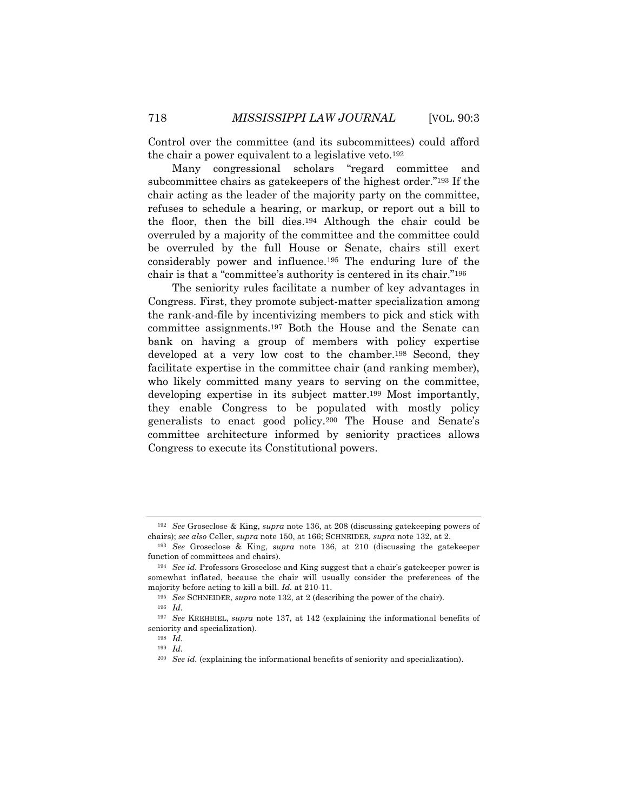Control over the committee (and its subcommittees) could afford the chair a power equivalent to a legislative veto.192

Many congressional scholars "regard committee and subcommittee chairs as gatekeepers of the highest order."193 If the chair acting as the leader of the majority party on the committee, refuses to schedule a hearing, or markup, or report out a bill to the floor, then the bill dies.194 Although the chair could be overruled by a majority of the committee and the committee could be overruled by the full House or Senate, chairs still exert considerably power and influence.195 The enduring lure of the chair is that a "committee's authority is centered in its chair."196

The seniority rules facilitate a number of key advantages in Congress. First, they promote subject-matter specialization among the rank-and-file by incentivizing members to pick and stick with committee assignments.197 Both the House and the Senate can bank on having a group of members with policy expertise developed at a very low cost to the chamber.198 Second, they facilitate expertise in the committee chair (and ranking member), who likely committed many years to serving on the committee, developing expertise in its subject matter.199 Most importantly, they enable Congress to be populated with mostly policy generalists to enact good policy.200 The House and Senate's committee architecture informed by seniority practices allows Congress to execute its Constitutional powers.

<sup>192</sup> *See* Groseclose & King, *supra* note 136, at 208 (discussing gatekeeping powers of chairs); *see also* Celler, *supra* note 150, at 166; SCHNEIDER, *supra* note 132, at 2.

<sup>193</sup> *See* Groseclose & King, *supra* note 136, at 210 (discussing the gatekeeper function of committees and chairs).

<sup>194</sup> *See id.* Professors Groseclose and King suggest that a chair's gatekeeper power is somewhat inflated, because the chair will usually consider the preferences of the majority before acting to kill a bill. *Id.* at 210-11.

<sup>195</sup> *See* SCHNEIDER, *supra* note 132, at 2 (describing the power of the chair).

<sup>196</sup> *Id.*

<sup>197</sup> *See* KREHBIEL, *supra* note 137, at 142 (explaining the informational benefits of seniority and specialization).

<sup>198</sup> *Id.*

<sup>199</sup> *Id.*

<sup>200</sup> *See id.* (explaining the informational benefits of seniority and specialization).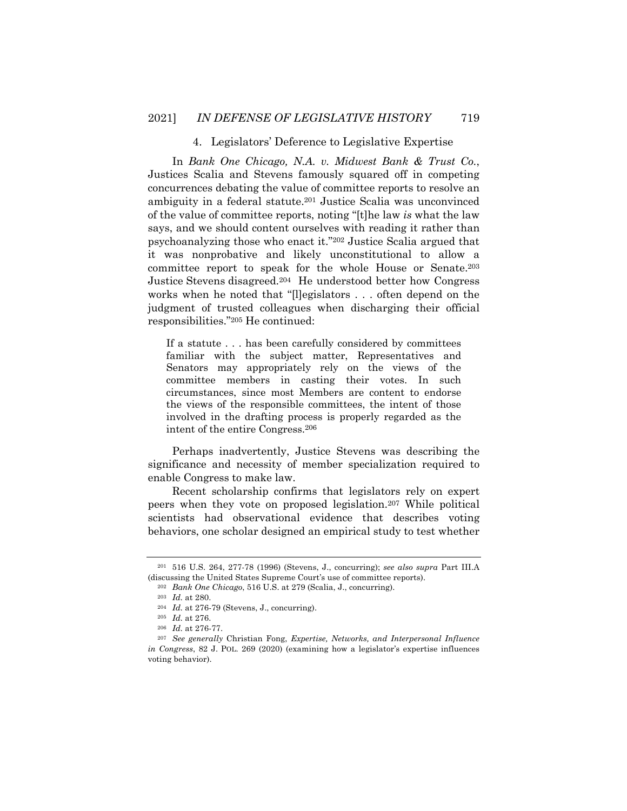#### 4. Legislators' Deference to Legislative Expertise

In *Bank One Chicago, N.A. v. Midwest Bank & Trust Co.*, Justices Scalia and Stevens famously squared off in competing concurrences debating the value of committee reports to resolve an ambiguity in a federal statute.201 Justice Scalia was unconvinced of the value of committee reports, noting "[t]he law *is* what the law says, and we should content ourselves with reading it rather than psychoanalyzing those who enact it."202 Justice Scalia argued that it was nonprobative and likely unconstitutional to allow a committee report to speak for the whole House or Senate.203 Justice Stevens disagreed.204 He understood better how Congress works when he noted that "[l]egislators . . . often depend on the judgment of trusted colleagues when discharging their official responsibilities."205 He continued:

If a statute . . . has been carefully considered by committees familiar with the subject matter, Representatives and Senators may appropriately rely on the views of the committee members in casting their votes. In such circumstances, since most Members are content to endorse the views of the responsible committees, the intent of those involved in the drafting process is properly regarded as the intent of the entire Congress.206

Perhaps inadvertently, Justice Stevens was describing the significance and necessity of member specialization required to enable Congress to make law.

Recent scholarship confirms that legislators rely on expert peers when they vote on proposed legislation.207 While political scientists had observational evidence that describes voting behaviors, one scholar designed an empirical study to test whether

<sup>201</sup> 516 U.S. 264, 277-78 (1996) (Stevens, J., concurring); *see also supra* Part III.A (discussing the United States Supreme Court's use of committee reports).

<sup>202</sup> *Bank One Chicago*, 516 U.S. at 279 (Scalia, J., concurring).

<sup>203</sup> *Id.* at 280.

<sup>204</sup> *Id.* at 276-79 (Stevens, J., concurring).

<sup>205</sup> *Id.* at 276.

<sup>206</sup> *Id.* at 276-77.

<sup>207</sup> *See generally* Christian Fong, *Expertise, Networks, and Interpersonal Influence in Congress*, 82 J. POL. 269 (2020) (examining how a legislator's expertise influences voting behavior).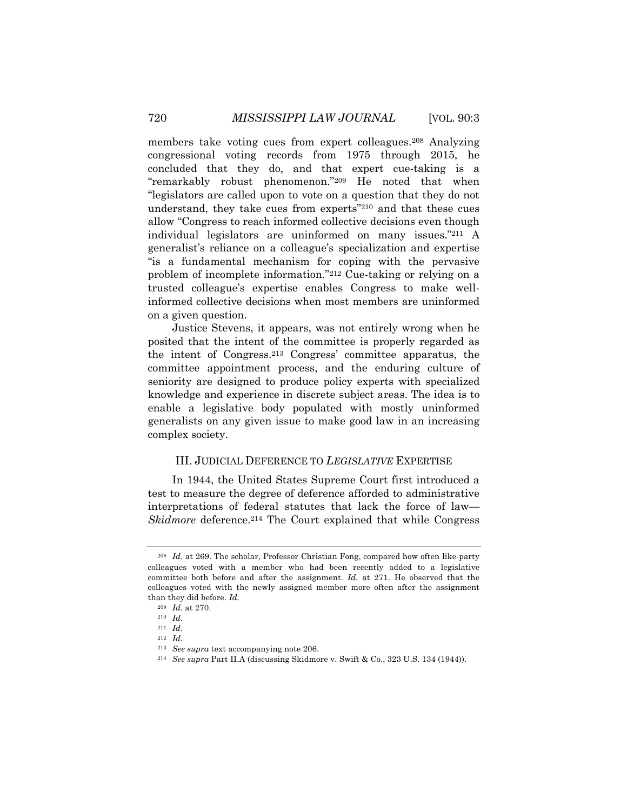members take voting cues from expert colleagues.208 Analyzing congressional voting records from 1975 through 2015, he concluded that they do, and that expert cue-taking is a "remarkably robust phenomenon."209 He noted that when "legislators are called upon to vote on a question that they do not understand, they take cues from experts"210 and that these cues allow "Congress to reach informed collective decisions even though individual legislators are uninformed on many issues."211 A generalist's reliance on a colleague's specialization and expertise "is a fundamental mechanism for coping with the pervasive problem of incomplete information."212 Cue-taking or relying on a trusted colleague's expertise enables Congress to make wellinformed collective decisions when most members are uninformed on a given question.

Justice Stevens, it appears, was not entirely wrong when he posited that the intent of the committee is properly regarded as the intent of Congress.213 Congress' committee apparatus, the committee appointment process, and the enduring culture of seniority are designed to produce policy experts with specialized knowledge and experience in discrete subject areas. The idea is to enable a legislative body populated with mostly uninformed generalists on any given issue to make good law in an increasing complex society.

#### III. JUDICIAL DEFERENCE TO *LEGISLATIVE* EXPERTISE

In 1944, the United States Supreme Court first introduced a test to measure the degree of deference afforded to administrative interpretations of federal statutes that lack the force of law— *Skidmore* deference.<sup>214</sup> The Court explained that while Congress

<sup>208</sup> *Id.* at 269. The scholar, Professor Christian Fong, compared how often like-party colleagues voted with a member who had been recently added to a legislative committee both before and after the assignment. *Id.* at 271. He observed that the colleagues voted with the newly assigned member more often after the assignment than they did before. *Id.*

<sup>209</sup> *Id.* at 270.

<sup>210</sup> *Id.*

<sup>211</sup> *Id.*

<sup>212</sup> *Id.*

<sup>213</sup> *See supra* text accompanying note 206.

<sup>214</sup> *See supra* Part II.A (discussing Skidmore v. Swift & Co., 323 U.S. 134 (1944)).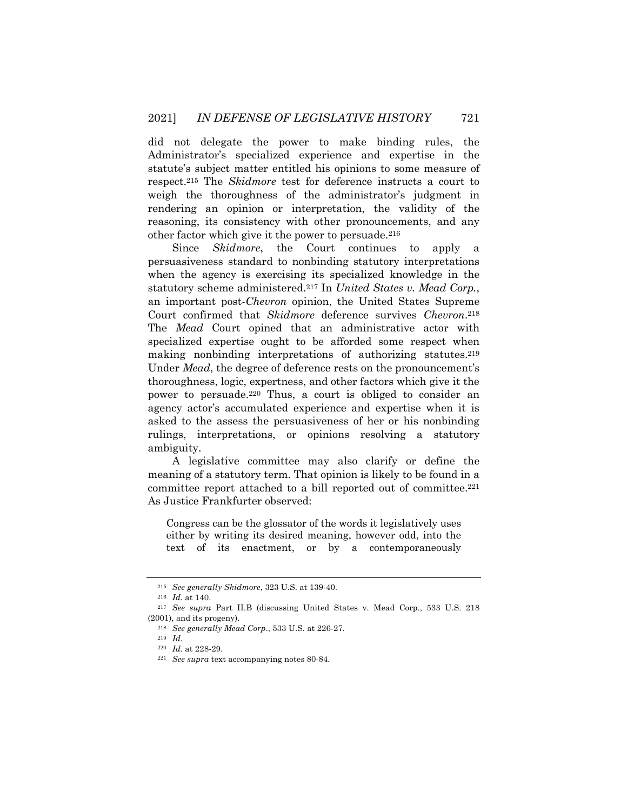did not delegate the power to make binding rules, the Administrator's specialized experience and expertise in the statute's subject matter entitled his opinions to some measure of respect.215 The *Skidmore* test for deference instructs a court to weigh the thoroughness of the administrator's judgment in rendering an opinion or interpretation, the validity of the reasoning, its consistency with other pronouncements, and any other factor which give it the power to persuade.216

Since *Skidmore*, the Court continues to apply a persuasiveness standard to nonbinding statutory interpretations when the agency is exercising its specialized knowledge in the statutory scheme administered.217 In *United States v. Mead Corp.*, an important post-*Chevron* opinion, the United States Supreme Court confirmed that *Skidmore* deference survives *Chevron*.218 The *Mead* Court opined that an administrative actor with specialized expertise ought to be afforded some respect when making nonbinding interpretations of authorizing statutes.219 Under *Mead*, the degree of deference rests on the pronouncement's thoroughness, logic, expertness, and other factors which give it the power to persuade.220 Thus, a court is obliged to consider an agency actor's accumulated experience and expertise when it is asked to the assess the persuasiveness of her or his nonbinding rulings, interpretations, or opinions resolving a statutory ambiguity.

A legislative committee may also clarify or define the meaning of a statutory term. That opinion is likely to be found in a committee report attached to a bill reported out of committee.221 As Justice Frankfurter observed:

Congress can be the glossator of the words it legislatively uses either by writing its desired meaning, however odd, into the text of its enactment, or by a contemporaneously

<sup>215</sup> *See generally Skidmore*, 323 U.S. at 139-40.

<sup>216</sup> *Id.* at 140.

<sup>217</sup> *See supra* Part II.B (discussing United States v. Mead Corp., 533 U.S. 218 (2001), and its progeny).

<sup>218</sup> *See generally Mead Corp*., 533 U.S. at 226-27.

<sup>219</sup> *Id.*

<sup>220</sup> *Id.* at 228-29.

<sup>221</sup> *See supra* text accompanying notes 80-84.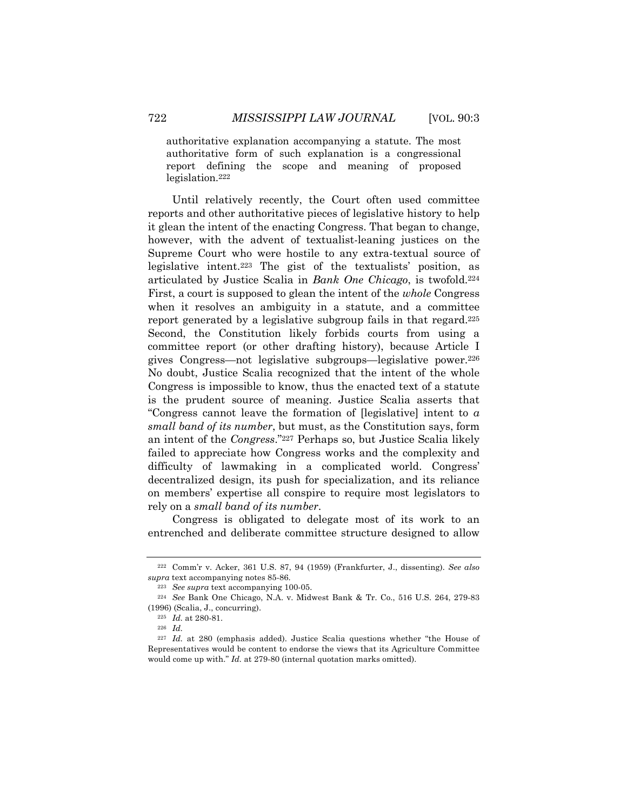authoritative explanation accompanying a statute. The most authoritative form of such explanation is a congressional report defining the scope and meaning of proposed legislation.222

Until relatively recently, the Court often used committee reports and other authoritative pieces of legislative history to help it glean the intent of the enacting Congress. That began to change, however, with the advent of textualist-leaning justices on the Supreme Court who were hostile to any extra-textual source of legislative intent.223 The gist of the textualists' position, as articulated by Justice Scalia in *Bank One Chicago*, is twofold.224 First, a court is supposed to glean the intent of the *whole* Congress when it resolves an ambiguity in a statute, and a committee report generated by a legislative subgroup fails in that regard.<sup>225</sup> Second, the Constitution likely forbids courts from using a committee report (or other drafting history), because Article I gives Congress—not legislative subgroups—legislative power.226 No doubt, Justice Scalia recognized that the intent of the whole Congress is impossible to know, thus the enacted text of a statute is the prudent source of meaning. Justice Scalia asserts that "Congress cannot leave the formation of [legislative] intent to *a small band of its number*, but must, as the Constitution says, form an intent of the *Congress*."227 Perhaps so, but Justice Scalia likely failed to appreciate how Congress works and the complexity and difficulty of lawmaking in a complicated world. Congress' decentralized design, its push for specialization, and its reliance on members' expertise all conspire to require most legislators to rely on a *small band of its number*.

Congress is obligated to delegate most of its work to an entrenched and deliberate committee structure designed to allow

<sup>222</sup> Comm'r v. Acker, 361 U.S. 87, 94 (1959) (Frankfurter, J., dissenting). *See also supra* text accompanying notes 85-86.

<sup>223</sup> *See supra* text accompanying 100-05.

<sup>224</sup> *See* Bank One Chicago, N.A. v. Midwest Bank & Tr. Co., 516 U.S. 264, 279-83 (1996) (Scalia, J., concurring).

<sup>225</sup> *Id.* at 280-81.

<sup>226</sup> *Id.*

<sup>227</sup> *Id.* at 280 (emphasis added). Justice Scalia questions whether "the House of Representatives would be content to endorse the views that its Agriculture Committee would come up with." *Id.* at 279-80 (internal quotation marks omitted).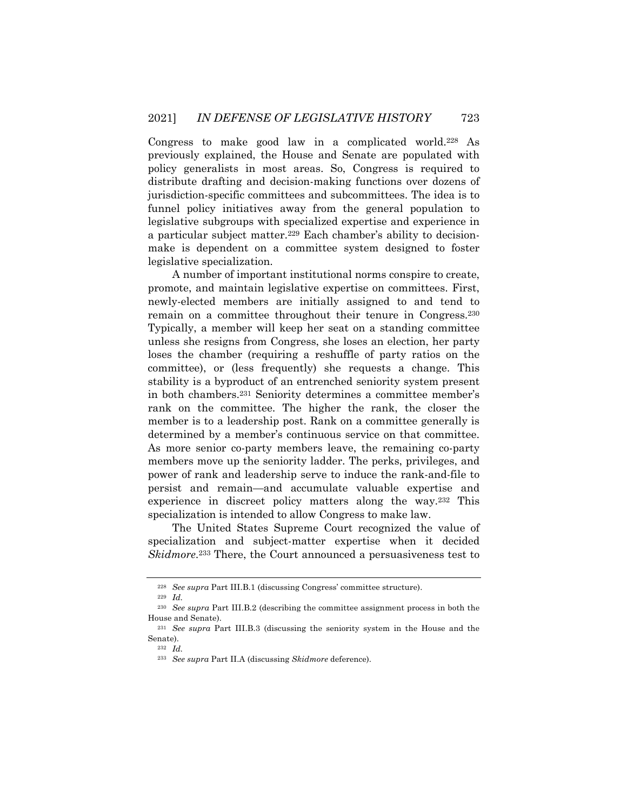Congress to make good law in a complicated world.228 As previously explained, the House and Senate are populated with policy generalists in most areas. So, Congress is required to distribute drafting and decision-making functions over dozens of jurisdiction-specific committees and subcommittees. The idea is to funnel policy initiatives away from the general population to legislative subgroups with specialized expertise and experience in a particular subject matter.229 Each chamber's ability to decisionmake is dependent on a committee system designed to foster legislative specialization.

A number of important institutional norms conspire to create, promote, and maintain legislative expertise on committees. First, newly-elected members are initially assigned to and tend to remain on a committee throughout their tenure in Congress.230 Typically, a member will keep her seat on a standing committee unless she resigns from Congress, she loses an election, her party loses the chamber (requiring a reshuffle of party ratios on the committee), or (less frequently) she requests a change. This stability is a byproduct of an entrenched seniority system present in both chambers.231 Seniority determines a committee member's rank on the committee. The higher the rank, the closer the member is to a leadership post. Rank on a committee generally is determined by a member's continuous service on that committee. As more senior co-party members leave, the remaining co-party members move up the seniority ladder. The perks, privileges, and power of rank and leadership serve to induce the rank-and-file to persist and remain—and accumulate valuable expertise and experience in discreet policy matters along the way.232 This specialization is intended to allow Congress to make law.

The United States Supreme Court recognized the value of specialization and subject-matter expertise when it decided *Skidmore*.233 There, the Court announced a persuasiveness test to

<sup>228</sup> *See supra* Part III.B.1 (discussing Congress' committee structure).

<sup>229</sup> *Id.*

<sup>230</sup> *See supra* Part III.B.2 (describing the committee assignment process in both the House and Senate).

<sup>231</sup> *See supra* Part III.B.3 (discussing the seniority system in the House and the Senate).

<sup>232</sup> *Id.*

<sup>233</sup> *See supra* Part II.A (discussing *Skidmore* deference).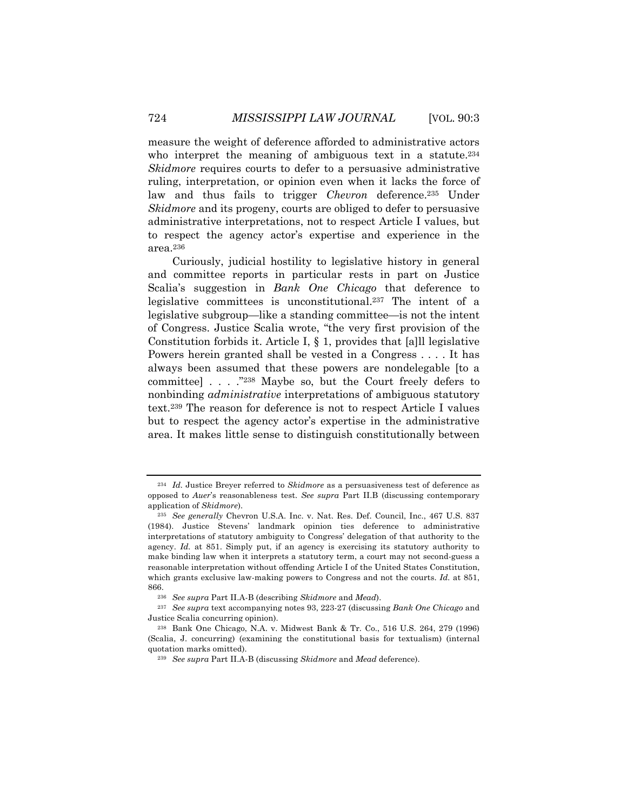measure the weight of deference afforded to administrative actors who interpret the meaning of ambiguous text in a statute.<sup>234</sup> *Skidmore* requires courts to defer to a persuasive administrative ruling, interpretation, or opinion even when it lacks the force of law and thus fails to trigger *Chevron* deference.235 Under *Skidmore* and its progeny, courts are obliged to defer to persuasive administrative interpretations, not to respect Article I values, but to respect the agency actor's expertise and experience in the area.236

Curiously, judicial hostility to legislative history in general and committee reports in particular rests in part on Justice Scalia's suggestion in *Bank One Chicago* that deference to legislative committees is unconstitutional.237 The intent of a legislative subgroup—like a standing committee—is not the intent of Congress. Justice Scalia wrote, "the very first provision of the Constitution forbids it. Article I, § 1, provides that [a]ll legislative Powers herein granted shall be vested in a Congress . . . . It has always been assumed that these powers are nondelegable [to a committee] . . . ."238 Maybe so, but the Court freely defers to nonbinding *administrative* interpretations of ambiguous statutory text.239 The reason for deference is not to respect Article I values but to respect the agency actor's expertise in the administrative area. It makes little sense to distinguish constitutionally between

<sup>234</sup> *Id.* Justice Breyer referred to *Skidmore* as a persuasiveness test of deference as opposed to *Auer*'s reasonableness test. *See supra* Part II.B (discussing contemporary application of *Skidmore*).

<sup>235</sup> *See generally* Chevron U.S.A. Inc. v. Nat. Res. Def. Council, Inc., 467 U.S. 837 (1984). Justice Stevens' landmark opinion ties deference to administrative interpretations of statutory ambiguity to Congress' delegation of that authority to the agency. *Id.* at 851. Simply put, if an agency is exercising its statutory authority to make binding law when it interprets a statutory term, a court may not second-guess a reasonable interpretation without offending Article I of the United States Constitution, which grants exclusive law-making powers to Congress and not the courts. *Id.* at 851, 866.

<sup>236</sup> *See supra* Part II.A-B (describing *Skidmore* and *Mead*).

<sup>237</sup> *See supra* text accompanying notes 93, 223-27 (discussing *Bank One Chicago* and Justice Scalia concurring opinion).

<sup>238</sup> Bank One Chicago, N.A. v. Midwest Bank & Tr. Co., 516 U.S. 264, 279 (1996) (Scalia, J. concurring) (examining the constitutional basis for textualism) (internal quotation marks omitted).

<sup>239</sup> *See supra* Part II.A-B (discussing *Skidmore* and *Mead* deference).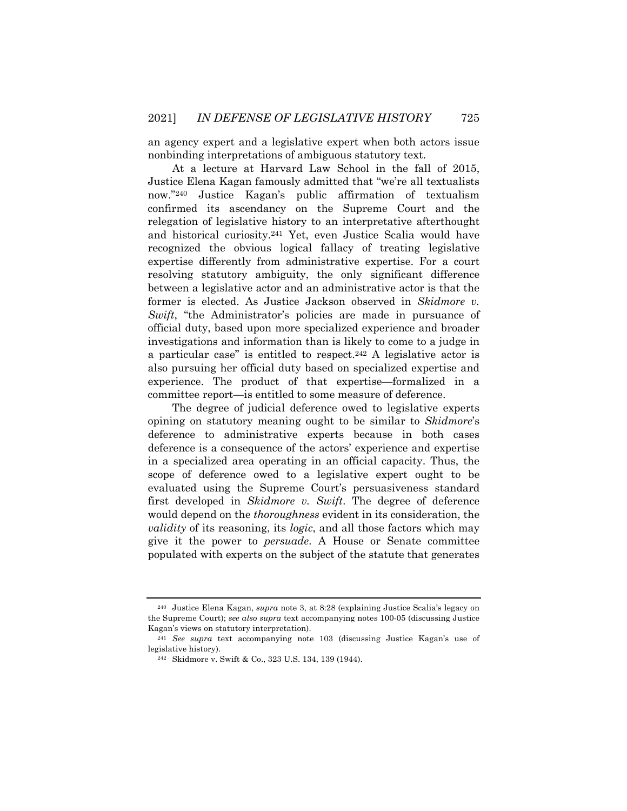an agency expert and a legislative expert when both actors issue nonbinding interpretations of ambiguous statutory text.

At a lecture at Harvard Law School in the fall of 2015, Justice Elena Kagan famously admitted that "we're all textualists now."240 Justice Kagan's public affirmation of textualism confirmed its ascendancy on the Supreme Court and the relegation of legislative history to an interpretative afterthought and historical curiosity.241 Yet, even Justice Scalia would have recognized the obvious logical fallacy of treating legislative expertise differently from administrative expertise. For a court resolving statutory ambiguity, the only significant difference between a legislative actor and an administrative actor is that the former is elected. As Justice Jackson observed in *Skidmore v. Swift*, "the Administrator's policies are made in pursuance of official duty, based upon more specialized experience and broader investigations and information than is likely to come to a judge in a particular case" is entitled to respect.242 A legislative actor is also pursuing her official duty based on specialized expertise and experience. The product of that expertise—formalized in a committee report—is entitled to some measure of deference.

The degree of judicial deference owed to legislative experts opining on statutory meaning ought to be similar to *Skidmore*'s deference to administrative experts because in both cases deference is a consequence of the actors' experience and expertise in a specialized area operating in an official capacity. Thus, the scope of deference owed to a legislative expert ought to be evaluated using the Supreme Court's persuasiveness standard first developed in *Skidmore v. Swift*. The degree of deference would depend on the *thoroughness* evident in its consideration, the *validity* of its reasoning, its *logic*, and all those factors which may give it the power to *persuade*. A House or Senate committee populated with experts on the subject of the statute that generates

<sup>240</sup> Justice Elena Kagan, *supra* note 3, at 8:28 (explaining Justice Scalia's legacy on the Supreme Court); *see also supra* text accompanying notes 100-05 (discussing Justice Kagan's views on statutory interpretation).

<sup>241</sup> *See supra* text accompanying note 103 (discussing Justice Kagan's use of legislative history).

<sup>242</sup> Skidmore v. Swift & Co., 323 U.S. 134, 139 (1944).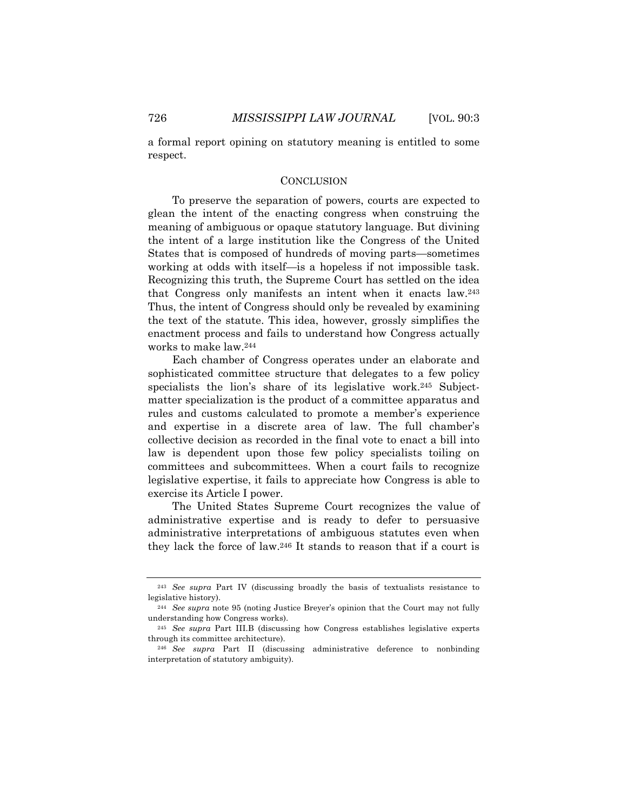a formal report opining on statutory meaning is entitled to some respect.

#### **CONCLUSION**

To preserve the separation of powers, courts are expected to glean the intent of the enacting congress when construing the meaning of ambiguous or opaque statutory language. But divining the intent of a large institution like the Congress of the United States that is composed of hundreds of moving parts—sometimes working at odds with itself—is a hopeless if not impossible task. Recognizing this truth, the Supreme Court has settled on the idea that Congress only manifests an intent when it enacts law.243 Thus, the intent of Congress should only be revealed by examining the text of the statute. This idea, however, grossly simplifies the enactment process and fails to understand how Congress actually works to make law.244

Each chamber of Congress operates under an elaborate and sophisticated committee structure that delegates to a few policy specialists the lion's share of its legislative work.245 Subjectmatter specialization is the product of a committee apparatus and rules and customs calculated to promote a member's experience and expertise in a discrete area of law. The full chamber's collective decision as recorded in the final vote to enact a bill into law is dependent upon those few policy specialists toiling on committees and subcommittees. When a court fails to recognize legislative expertise, it fails to appreciate how Congress is able to exercise its Article I power.

The United States Supreme Court recognizes the value of administrative expertise and is ready to defer to persuasive administrative interpretations of ambiguous statutes even when they lack the force of law.246 It stands to reason that if a court is

<sup>243</sup> *See supra* Part IV (discussing broadly the basis of textualists resistance to legislative history).

<sup>244</sup> *See supra* note 95 (noting Justice Breyer's opinion that the Court may not fully understanding how Congress works).

<sup>245</sup> *See supra* Part III.B (discussing how Congress establishes legislative experts through its committee architecture).

<sup>246</sup> *See supra* Part II (discussing administrative deference to nonbinding interpretation of statutory ambiguity).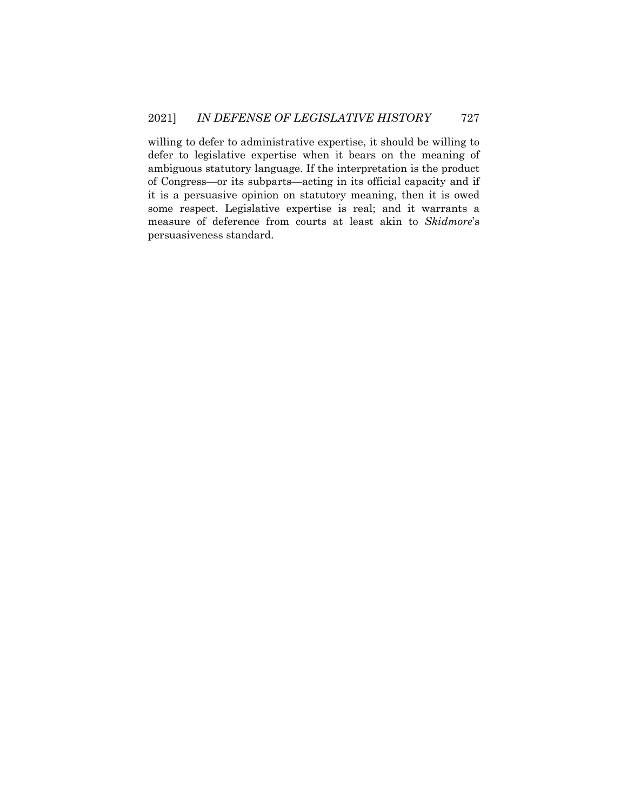willing to defer to administrative expertise, it should be willing to defer to legislative expertise when it bears on the meaning of ambiguous statutory language. If the interpretation is the product of Congress—or its subparts—acting in its official capacity and if it is a persuasive opinion on statutory meaning, then it is owed some respect. Legislative expertise is real; and it warrants a measure of deference from courts at least akin to *Skidmore*'s persuasiveness standard.